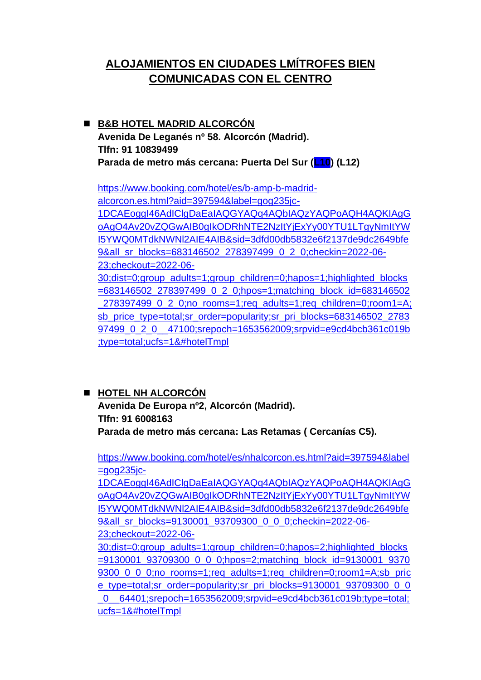# **ALOJAMIENTOS EN CIUDADES LMÍTROFES BIEN COMUNICADAS CON EL CENTRO**

### ◼ **B&B HOTEL MADRID ALCORCÓN Avenida De Leganés nº 58. Alcorcón (Madrid). Tlfn: 91 10839499 Parada de metro más cercana: Puerta Del Sur (L10) (L12)**

[https://www.booking.com/hotel/es/b-amp-b-madrid](https://www.booking.com/hotel/es/b-amp-b-madrid-alcorcon.es.html?aid=397594&label=gog235jc-1DCAEoggI46AdIClgDaEaIAQGYAQq4AQbIAQzYAQPoAQH4AQKIAgGoAgO4Av20vZQGwAIB0gIkODRhNTE2NzItYjExYy00YTU1LTgyNmItYWI5YWQ0MTdkNWNl2AIE4AIB&sid=3dfd00db5832e6f2137de9dc2649bfe9&all_sr_blocks=683146502_278397499_0_2_0;checkin=2022-06-23;checkout=2022-06-30;dist=0;group_adults=1;group_children=0;hapos=1;highlighted_blocks=683146502_278397499_0_2_0;hpos=1;matching_block_id=683146502_278397499_0_2_0;no_rooms=1;req_adults=1;req_children=0;room1=A;sb_price_type=total;sr_order=popularity;sr_pri_blocks=683146502_278397499_0_2_0__47100;srepoch=1653562009;srpvid=e9cd4bcb361c019b;type=total;ucfs=1&#hotelTmpl)[alcorcon.es.html?aid=397594&label=gog235jc-](https://www.booking.com/hotel/es/b-amp-b-madrid-alcorcon.es.html?aid=397594&label=gog235jc-1DCAEoggI46AdIClgDaEaIAQGYAQq4AQbIAQzYAQPoAQH4AQKIAgGoAgO4Av20vZQGwAIB0gIkODRhNTE2NzItYjExYy00YTU1LTgyNmItYWI5YWQ0MTdkNWNl2AIE4AIB&sid=3dfd00db5832e6f2137de9dc2649bfe9&all_sr_blocks=683146502_278397499_0_2_0;checkin=2022-06-23;checkout=2022-06-30;dist=0;group_adults=1;group_children=0;hapos=1;highlighted_blocks=683146502_278397499_0_2_0;hpos=1;matching_block_id=683146502_278397499_0_2_0;no_rooms=1;req_adults=1;req_children=0;room1=A;sb_price_type=total;sr_order=popularity;sr_pri_blocks=683146502_278397499_0_2_0__47100;srepoch=1653562009;srpvid=e9cd4bcb361c019b;type=total;ucfs=1&#hotelTmpl)[1DCAEoggI46AdIClgDaEaIAQGYAQq4AQbIAQzYAQPoAQH4AQKIAgG](https://www.booking.com/hotel/es/b-amp-b-madrid-alcorcon.es.html?aid=397594&label=gog235jc-1DCAEoggI46AdIClgDaEaIAQGYAQq4AQbIAQzYAQPoAQH4AQKIAgGoAgO4Av20vZQGwAIB0gIkODRhNTE2NzItYjExYy00YTU1LTgyNmItYWI5YWQ0MTdkNWNl2AIE4AIB&sid=3dfd00db5832e6f2137de9dc2649bfe9&all_sr_blocks=683146502_278397499_0_2_0;checkin=2022-06-23;checkout=2022-06-30;dist=0;group_adults=1;group_children=0;hapos=1;highlighted_blocks=683146502_278397499_0_2_0;hpos=1;matching_block_id=683146502_278397499_0_2_0;no_rooms=1;req_adults=1;req_children=0;room1=A;sb_price_type=total;sr_order=popularity;sr_pri_blocks=683146502_278397499_0_2_0__47100;srepoch=1653562009;srpvid=e9cd4bcb361c019b;type=total;ucfs=1&#hotelTmpl) [oAgO4Av20vZQGwAIB0gIkODRhNTE2NzItYjExYy00YTU1LTgyNmItYW](https://www.booking.com/hotel/es/b-amp-b-madrid-alcorcon.es.html?aid=397594&label=gog235jc-1DCAEoggI46AdIClgDaEaIAQGYAQq4AQbIAQzYAQPoAQH4AQKIAgGoAgO4Av20vZQGwAIB0gIkODRhNTE2NzItYjExYy00YTU1LTgyNmItYWI5YWQ0MTdkNWNl2AIE4AIB&sid=3dfd00db5832e6f2137de9dc2649bfe9&all_sr_blocks=683146502_278397499_0_2_0;checkin=2022-06-23;checkout=2022-06-30;dist=0;group_adults=1;group_children=0;hapos=1;highlighted_blocks=683146502_278397499_0_2_0;hpos=1;matching_block_id=683146502_278397499_0_2_0;no_rooms=1;req_adults=1;req_children=0;room1=A;sb_price_type=total;sr_order=popularity;sr_pri_blocks=683146502_278397499_0_2_0__47100;srepoch=1653562009;srpvid=e9cd4bcb361c019b;type=total;ucfs=1&#hotelTmpl) [I5YWQ0MTdkNWNl2AIE4AIB&sid=3dfd00db5832e6f2137de9dc2649bfe](https://www.booking.com/hotel/es/b-amp-b-madrid-alcorcon.es.html?aid=397594&label=gog235jc-1DCAEoggI46AdIClgDaEaIAQGYAQq4AQbIAQzYAQPoAQH4AQKIAgGoAgO4Av20vZQGwAIB0gIkODRhNTE2NzItYjExYy00YTU1LTgyNmItYWI5YWQ0MTdkNWNl2AIE4AIB&sid=3dfd00db5832e6f2137de9dc2649bfe9&all_sr_blocks=683146502_278397499_0_2_0;checkin=2022-06-23;checkout=2022-06-30;dist=0;group_adults=1;group_children=0;hapos=1;highlighted_blocks=683146502_278397499_0_2_0;hpos=1;matching_block_id=683146502_278397499_0_2_0;no_rooms=1;req_adults=1;req_children=0;room1=A;sb_price_type=total;sr_order=popularity;sr_pri_blocks=683146502_278397499_0_2_0__47100;srepoch=1653562009;srpvid=e9cd4bcb361c019b;type=total;ucfs=1&#hotelTmpl) [9&all\\_sr\\_blocks=683146502\\_278397499\\_0\\_2\\_0;checkin=2022-06-](https://www.booking.com/hotel/es/b-amp-b-madrid-alcorcon.es.html?aid=397594&label=gog235jc-1DCAEoggI46AdIClgDaEaIAQGYAQq4AQbIAQzYAQPoAQH4AQKIAgGoAgO4Av20vZQGwAIB0gIkODRhNTE2NzItYjExYy00YTU1LTgyNmItYWI5YWQ0MTdkNWNl2AIE4AIB&sid=3dfd00db5832e6f2137de9dc2649bfe9&all_sr_blocks=683146502_278397499_0_2_0;checkin=2022-06-23;checkout=2022-06-30;dist=0;group_adults=1;group_children=0;hapos=1;highlighted_blocks=683146502_278397499_0_2_0;hpos=1;matching_block_id=683146502_278397499_0_2_0;no_rooms=1;req_adults=1;req_children=0;room1=A;sb_price_type=total;sr_order=popularity;sr_pri_blocks=683146502_278397499_0_2_0__47100;srepoch=1653562009;srpvid=e9cd4bcb361c019b;type=total;ucfs=1&#hotelTmpl) [23;checkout=2022-06-](https://www.booking.com/hotel/es/b-amp-b-madrid-alcorcon.es.html?aid=397594&label=gog235jc-1DCAEoggI46AdIClgDaEaIAQGYAQq4AQbIAQzYAQPoAQH4AQKIAgGoAgO4Av20vZQGwAIB0gIkODRhNTE2NzItYjExYy00YTU1LTgyNmItYWI5YWQ0MTdkNWNl2AIE4AIB&sid=3dfd00db5832e6f2137de9dc2649bfe9&all_sr_blocks=683146502_278397499_0_2_0;checkin=2022-06-23;checkout=2022-06-30;dist=0;group_adults=1;group_children=0;hapos=1;highlighted_blocks=683146502_278397499_0_2_0;hpos=1;matching_block_id=683146502_278397499_0_2_0;no_rooms=1;req_adults=1;req_children=0;room1=A;sb_price_type=total;sr_order=popularity;sr_pri_blocks=683146502_278397499_0_2_0__47100;srepoch=1653562009;srpvid=e9cd4bcb361c019b;type=total;ucfs=1&#hotelTmpl) [30;dist=0;group\\_adults=1;group\\_children=0;hapos=1;highlighted\\_blocks](https://www.booking.com/hotel/es/b-amp-b-madrid-alcorcon.es.html?aid=397594&label=gog235jc-1DCAEoggI46AdIClgDaEaIAQGYAQq4AQbIAQzYAQPoAQH4AQKIAgGoAgO4Av20vZQGwAIB0gIkODRhNTE2NzItYjExYy00YTU1LTgyNmItYWI5YWQ0MTdkNWNl2AIE4AIB&sid=3dfd00db5832e6f2137de9dc2649bfe9&all_sr_blocks=683146502_278397499_0_2_0;checkin=2022-06-23;checkout=2022-06-30;dist=0;group_adults=1;group_children=0;hapos=1;highlighted_blocks=683146502_278397499_0_2_0;hpos=1;matching_block_id=683146502_278397499_0_2_0;no_rooms=1;req_adults=1;req_children=0;room1=A;sb_price_type=total;sr_order=popularity;sr_pri_blocks=683146502_278397499_0_2_0__47100;srepoch=1653562009;srpvid=e9cd4bcb361c019b;type=total;ucfs=1&#hotelTmpl) [=683146502\\_278397499\\_0\\_2\\_0;hpos=1;matching\\_block\\_id=683146502](https://www.booking.com/hotel/es/b-amp-b-madrid-alcorcon.es.html?aid=397594&label=gog235jc-1DCAEoggI46AdIClgDaEaIAQGYAQq4AQbIAQzYAQPoAQH4AQKIAgGoAgO4Av20vZQGwAIB0gIkODRhNTE2NzItYjExYy00YTU1LTgyNmItYWI5YWQ0MTdkNWNl2AIE4AIB&sid=3dfd00db5832e6f2137de9dc2649bfe9&all_sr_blocks=683146502_278397499_0_2_0;checkin=2022-06-23;checkout=2022-06-30;dist=0;group_adults=1;group_children=0;hapos=1;highlighted_blocks=683146502_278397499_0_2_0;hpos=1;matching_block_id=683146502_278397499_0_2_0;no_rooms=1;req_adults=1;req_children=0;room1=A;sb_price_type=total;sr_order=popularity;sr_pri_blocks=683146502_278397499_0_2_0__47100;srepoch=1653562009;srpvid=e9cd4bcb361c019b;type=total;ucfs=1&#hotelTmpl) [\\_278397499\\_0\\_2\\_0;no\\_rooms=1;req\\_adults=1;req\\_children=0;room1=A;](https://www.booking.com/hotel/es/b-amp-b-madrid-alcorcon.es.html?aid=397594&label=gog235jc-1DCAEoggI46AdIClgDaEaIAQGYAQq4AQbIAQzYAQPoAQH4AQKIAgGoAgO4Av20vZQGwAIB0gIkODRhNTE2NzItYjExYy00YTU1LTgyNmItYWI5YWQ0MTdkNWNl2AIE4AIB&sid=3dfd00db5832e6f2137de9dc2649bfe9&all_sr_blocks=683146502_278397499_0_2_0;checkin=2022-06-23;checkout=2022-06-30;dist=0;group_adults=1;group_children=0;hapos=1;highlighted_blocks=683146502_278397499_0_2_0;hpos=1;matching_block_id=683146502_278397499_0_2_0;no_rooms=1;req_adults=1;req_children=0;room1=A;sb_price_type=total;sr_order=popularity;sr_pri_blocks=683146502_278397499_0_2_0__47100;srepoch=1653562009;srpvid=e9cd4bcb361c019b;type=total;ucfs=1&#hotelTmpl) [sb\\_price\\_type=total;sr\\_order=popularity;sr\\_pri\\_blocks=683146502\\_2783](https://www.booking.com/hotel/es/b-amp-b-madrid-alcorcon.es.html?aid=397594&label=gog235jc-1DCAEoggI46AdIClgDaEaIAQGYAQq4AQbIAQzYAQPoAQH4AQKIAgGoAgO4Av20vZQGwAIB0gIkODRhNTE2NzItYjExYy00YTU1LTgyNmItYWI5YWQ0MTdkNWNl2AIE4AIB&sid=3dfd00db5832e6f2137de9dc2649bfe9&all_sr_blocks=683146502_278397499_0_2_0;checkin=2022-06-23;checkout=2022-06-30;dist=0;group_adults=1;group_children=0;hapos=1;highlighted_blocks=683146502_278397499_0_2_0;hpos=1;matching_block_id=683146502_278397499_0_2_0;no_rooms=1;req_adults=1;req_children=0;room1=A;sb_price_type=total;sr_order=popularity;sr_pri_blocks=683146502_278397499_0_2_0__47100;srepoch=1653562009;srpvid=e9cd4bcb361c019b;type=total;ucfs=1&#hotelTmpl) [97499\\_0\\_2\\_0\\_\\_47100;srepoch=1653562009;srpvid=e9cd4bcb361c019b](https://www.booking.com/hotel/es/b-amp-b-madrid-alcorcon.es.html?aid=397594&label=gog235jc-1DCAEoggI46AdIClgDaEaIAQGYAQq4AQbIAQzYAQPoAQH4AQKIAgGoAgO4Av20vZQGwAIB0gIkODRhNTE2NzItYjExYy00YTU1LTgyNmItYWI5YWQ0MTdkNWNl2AIE4AIB&sid=3dfd00db5832e6f2137de9dc2649bfe9&all_sr_blocks=683146502_278397499_0_2_0;checkin=2022-06-23;checkout=2022-06-30;dist=0;group_adults=1;group_children=0;hapos=1;highlighted_blocks=683146502_278397499_0_2_0;hpos=1;matching_block_id=683146502_278397499_0_2_0;no_rooms=1;req_adults=1;req_children=0;room1=A;sb_price_type=total;sr_order=popularity;sr_pri_blocks=683146502_278397499_0_2_0__47100;srepoch=1653562009;srpvid=e9cd4bcb361c019b;type=total;ucfs=1&#hotelTmpl) [;type=total;ucfs=1&#hotelTmpl](https://www.booking.com/hotel/es/b-amp-b-madrid-alcorcon.es.html?aid=397594&label=gog235jc-1DCAEoggI46AdIClgDaEaIAQGYAQq4AQbIAQzYAQPoAQH4AQKIAgGoAgO4Av20vZQGwAIB0gIkODRhNTE2NzItYjExYy00YTU1LTgyNmItYWI5YWQ0MTdkNWNl2AIE4AIB&sid=3dfd00db5832e6f2137de9dc2649bfe9&all_sr_blocks=683146502_278397499_0_2_0;checkin=2022-06-23;checkout=2022-06-30;dist=0;group_adults=1;group_children=0;hapos=1;highlighted_blocks=683146502_278397499_0_2_0;hpos=1;matching_block_id=683146502_278397499_0_2_0;no_rooms=1;req_adults=1;req_children=0;room1=A;sb_price_type=total;sr_order=popularity;sr_pri_blocks=683146502_278397499_0_2_0__47100;srepoch=1653562009;srpvid=e9cd4bcb361c019b;type=total;ucfs=1&#hotelTmpl) 

## ■ HOTEL NH ALCORCÓN

**Avenida De Europa nº2, Alcorcón (Madrid). Tlfn: 91 6008163 Parada de metro más cercana: Las Retamas ( Cercanías C5).**

[https://www.booking.com/hotel/es/nhalcorcon.es.html?aid=397594&label](https://www.booking.com/hotel/es/nhalcorcon.es.html?aid=397594&label=gog235jc-1DCAEoggI46AdIClgDaEaIAQGYAQq4AQbIAQzYAQPoAQH4AQKIAgGoAgO4Av20vZQGwAIB0gIkODRhNTE2NzItYjExYy00YTU1LTgyNmItYWI5YWQ0MTdkNWNl2AIE4AIB&sid=3dfd00db5832e6f2137de9dc2649bfe9&all_sr_blocks=9130001_93709300_0_0_0;checkin=2022-06-23;checkout=2022-06-30;dist=0;group_adults=1;group_children=0;hapos=2;highlighted_blocks=9130001_93709300_0_0_0;hpos=2;matching_block_id=9130001_93709300_0_0_0;no_rooms=1;req_adults=1;req_children=0;room1=A;sb_price_type=total;sr_order=popularity;sr_pri_blocks=9130001_93709300_0_0_0__64401;srepoch=1653562009;srpvid=e9cd4bcb361c019b;type=total;ucfs=1&#hotelTmpl)  $=$ gog $235$ jc-

[1DCAEoggI46AdIClgDaEaIAQGYAQq4AQbIAQzYAQPoAQH4AQKIAgG](https://www.booking.com/hotel/es/nhalcorcon.es.html?aid=397594&label=gog235jc-1DCAEoggI46AdIClgDaEaIAQGYAQq4AQbIAQzYAQPoAQH4AQKIAgGoAgO4Av20vZQGwAIB0gIkODRhNTE2NzItYjExYy00YTU1LTgyNmItYWI5YWQ0MTdkNWNl2AIE4AIB&sid=3dfd00db5832e6f2137de9dc2649bfe9&all_sr_blocks=9130001_93709300_0_0_0;checkin=2022-06-23;checkout=2022-06-30;dist=0;group_adults=1;group_children=0;hapos=2;highlighted_blocks=9130001_93709300_0_0_0;hpos=2;matching_block_id=9130001_93709300_0_0_0;no_rooms=1;req_adults=1;req_children=0;room1=A;sb_price_type=total;sr_order=popularity;sr_pri_blocks=9130001_93709300_0_0_0__64401;srepoch=1653562009;srpvid=e9cd4bcb361c019b;type=total;ucfs=1&#hotelTmpl) [oAgO4Av20vZQGwAIB0gIkODRhNTE2NzItYjExYy00YTU1LTgyNmItYW](https://www.booking.com/hotel/es/nhalcorcon.es.html?aid=397594&label=gog235jc-1DCAEoggI46AdIClgDaEaIAQGYAQq4AQbIAQzYAQPoAQH4AQKIAgGoAgO4Av20vZQGwAIB0gIkODRhNTE2NzItYjExYy00YTU1LTgyNmItYWI5YWQ0MTdkNWNl2AIE4AIB&sid=3dfd00db5832e6f2137de9dc2649bfe9&all_sr_blocks=9130001_93709300_0_0_0;checkin=2022-06-23;checkout=2022-06-30;dist=0;group_adults=1;group_children=0;hapos=2;highlighted_blocks=9130001_93709300_0_0_0;hpos=2;matching_block_id=9130001_93709300_0_0_0;no_rooms=1;req_adults=1;req_children=0;room1=A;sb_price_type=total;sr_order=popularity;sr_pri_blocks=9130001_93709300_0_0_0__64401;srepoch=1653562009;srpvid=e9cd4bcb361c019b;type=total;ucfs=1&#hotelTmpl) [I5YWQ0MTdkNWNl2AIE4AIB&sid=3dfd00db5832e6f2137de9dc2649bfe](https://www.booking.com/hotel/es/nhalcorcon.es.html?aid=397594&label=gog235jc-1DCAEoggI46AdIClgDaEaIAQGYAQq4AQbIAQzYAQPoAQH4AQKIAgGoAgO4Av20vZQGwAIB0gIkODRhNTE2NzItYjExYy00YTU1LTgyNmItYWI5YWQ0MTdkNWNl2AIE4AIB&sid=3dfd00db5832e6f2137de9dc2649bfe9&all_sr_blocks=9130001_93709300_0_0_0;checkin=2022-06-23;checkout=2022-06-30;dist=0;group_adults=1;group_children=0;hapos=2;highlighted_blocks=9130001_93709300_0_0_0;hpos=2;matching_block_id=9130001_93709300_0_0_0;no_rooms=1;req_adults=1;req_children=0;room1=A;sb_price_type=total;sr_order=popularity;sr_pri_blocks=9130001_93709300_0_0_0__64401;srepoch=1653562009;srpvid=e9cd4bcb361c019b;type=total;ucfs=1&#hotelTmpl) [9&all\\_sr\\_blocks=9130001\\_93709300\\_0\\_0\\_0;checkin=2022-06-](https://www.booking.com/hotel/es/nhalcorcon.es.html?aid=397594&label=gog235jc-1DCAEoggI46AdIClgDaEaIAQGYAQq4AQbIAQzYAQPoAQH4AQKIAgGoAgO4Av20vZQGwAIB0gIkODRhNTE2NzItYjExYy00YTU1LTgyNmItYWI5YWQ0MTdkNWNl2AIE4AIB&sid=3dfd00db5832e6f2137de9dc2649bfe9&all_sr_blocks=9130001_93709300_0_0_0;checkin=2022-06-23;checkout=2022-06-30;dist=0;group_adults=1;group_children=0;hapos=2;highlighted_blocks=9130001_93709300_0_0_0;hpos=2;matching_block_id=9130001_93709300_0_0_0;no_rooms=1;req_adults=1;req_children=0;room1=A;sb_price_type=total;sr_order=popularity;sr_pri_blocks=9130001_93709300_0_0_0__64401;srepoch=1653562009;srpvid=e9cd4bcb361c019b;type=total;ucfs=1&#hotelTmpl) [23;checkout=2022-06-](https://www.booking.com/hotel/es/nhalcorcon.es.html?aid=397594&label=gog235jc-1DCAEoggI46AdIClgDaEaIAQGYAQq4AQbIAQzYAQPoAQH4AQKIAgGoAgO4Av20vZQGwAIB0gIkODRhNTE2NzItYjExYy00YTU1LTgyNmItYWI5YWQ0MTdkNWNl2AIE4AIB&sid=3dfd00db5832e6f2137de9dc2649bfe9&all_sr_blocks=9130001_93709300_0_0_0;checkin=2022-06-23;checkout=2022-06-30;dist=0;group_adults=1;group_children=0;hapos=2;highlighted_blocks=9130001_93709300_0_0_0;hpos=2;matching_block_id=9130001_93709300_0_0_0;no_rooms=1;req_adults=1;req_children=0;room1=A;sb_price_type=total;sr_order=popularity;sr_pri_blocks=9130001_93709300_0_0_0__64401;srepoch=1653562009;srpvid=e9cd4bcb361c019b;type=total;ucfs=1&#hotelTmpl)

[30;dist=0;group\\_adults=1;group\\_children=0;hapos=2;highlighted\\_blocks](https://www.booking.com/hotel/es/nhalcorcon.es.html?aid=397594&label=gog235jc-1DCAEoggI46AdIClgDaEaIAQGYAQq4AQbIAQzYAQPoAQH4AQKIAgGoAgO4Av20vZQGwAIB0gIkODRhNTE2NzItYjExYy00YTU1LTgyNmItYWI5YWQ0MTdkNWNl2AIE4AIB&sid=3dfd00db5832e6f2137de9dc2649bfe9&all_sr_blocks=9130001_93709300_0_0_0;checkin=2022-06-23;checkout=2022-06-30;dist=0;group_adults=1;group_children=0;hapos=2;highlighted_blocks=9130001_93709300_0_0_0;hpos=2;matching_block_id=9130001_93709300_0_0_0;no_rooms=1;req_adults=1;req_children=0;room1=A;sb_price_type=total;sr_order=popularity;sr_pri_blocks=9130001_93709300_0_0_0__64401;srepoch=1653562009;srpvid=e9cd4bcb361c019b;type=total;ucfs=1&#hotelTmpl) [=9130001\\_93709300\\_0\\_0\\_0;hpos=2;matching\\_block\\_id=9130001\\_9370](https://www.booking.com/hotel/es/nhalcorcon.es.html?aid=397594&label=gog235jc-1DCAEoggI46AdIClgDaEaIAQGYAQq4AQbIAQzYAQPoAQH4AQKIAgGoAgO4Av20vZQGwAIB0gIkODRhNTE2NzItYjExYy00YTU1LTgyNmItYWI5YWQ0MTdkNWNl2AIE4AIB&sid=3dfd00db5832e6f2137de9dc2649bfe9&all_sr_blocks=9130001_93709300_0_0_0;checkin=2022-06-23;checkout=2022-06-30;dist=0;group_adults=1;group_children=0;hapos=2;highlighted_blocks=9130001_93709300_0_0_0;hpos=2;matching_block_id=9130001_93709300_0_0_0;no_rooms=1;req_adults=1;req_children=0;room1=A;sb_price_type=total;sr_order=popularity;sr_pri_blocks=9130001_93709300_0_0_0__64401;srepoch=1653562009;srpvid=e9cd4bcb361c019b;type=total;ucfs=1&#hotelTmpl) [9300\\_0\\_0\\_0;no\\_rooms=1;req\\_adults=1;req\\_children=0;room1=A;sb\\_pric](https://www.booking.com/hotel/es/nhalcorcon.es.html?aid=397594&label=gog235jc-1DCAEoggI46AdIClgDaEaIAQGYAQq4AQbIAQzYAQPoAQH4AQKIAgGoAgO4Av20vZQGwAIB0gIkODRhNTE2NzItYjExYy00YTU1LTgyNmItYWI5YWQ0MTdkNWNl2AIE4AIB&sid=3dfd00db5832e6f2137de9dc2649bfe9&all_sr_blocks=9130001_93709300_0_0_0;checkin=2022-06-23;checkout=2022-06-30;dist=0;group_adults=1;group_children=0;hapos=2;highlighted_blocks=9130001_93709300_0_0_0;hpos=2;matching_block_id=9130001_93709300_0_0_0;no_rooms=1;req_adults=1;req_children=0;room1=A;sb_price_type=total;sr_order=popularity;sr_pri_blocks=9130001_93709300_0_0_0__64401;srepoch=1653562009;srpvid=e9cd4bcb361c019b;type=total;ucfs=1&#hotelTmpl) [e\\_type=total;sr\\_order=popularity;sr\\_pri\\_blocks=9130001\\_93709300\\_0\\_0](https://www.booking.com/hotel/es/nhalcorcon.es.html?aid=397594&label=gog235jc-1DCAEoggI46AdIClgDaEaIAQGYAQq4AQbIAQzYAQPoAQH4AQKIAgGoAgO4Av20vZQGwAIB0gIkODRhNTE2NzItYjExYy00YTU1LTgyNmItYWI5YWQ0MTdkNWNl2AIE4AIB&sid=3dfd00db5832e6f2137de9dc2649bfe9&all_sr_blocks=9130001_93709300_0_0_0;checkin=2022-06-23;checkout=2022-06-30;dist=0;group_adults=1;group_children=0;hapos=2;highlighted_blocks=9130001_93709300_0_0_0;hpos=2;matching_block_id=9130001_93709300_0_0_0;no_rooms=1;req_adults=1;req_children=0;room1=A;sb_price_type=total;sr_order=popularity;sr_pri_blocks=9130001_93709300_0_0_0__64401;srepoch=1653562009;srpvid=e9cd4bcb361c019b;type=total;ucfs=1&#hotelTmpl)\_ [\\_0\\_\\_64401;srepoch=1653562009;srpvid=e9cd4bcb361c019b;type=total;](https://www.booking.com/hotel/es/nhalcorcon.es.html?aid=397594&label=gog235jc-1DCAEoggI46AdIClgDaEaIAQGYAQq4AQbIAQzYAQPoAQH4AQKIAgGoAgO4Av20vZQGwAIB0gIkODRhNTE2NzItYjExYy00YTU1LTgyNmItYWI5YWQ0MTdkNWNl2AIE4AIB&sid=3dfd00db5832e6f2137de9dc2649bfe9&all_sr_blocks=9130001_93709300_0_0_0;checkin=2022-06-23;checkout=2022-06-30;dist=0;group_adults=1;group_children=0;hapos=2;highlighted_blocks=9130001_93709300_0_0_0;hpos=2;matching_block_id=9130001_93709300_0_0_0;no_rooms=1;req_adults=1;req_children=0;room1=A;sb_price_type=total;sr_order=popularity;sr_pri_blocks=9130001_93709300_0_0_0__64401;srepoch=1653562009;srpvid=e9cd4bcb361c019b;type=total;ucfs=1&#hotelTmpl) [ucfs=1&#hotelTmpl](https://www.booking.com/hotel/es/nhalcorcon.es.html?aid=397594&label=gog235jc-1DCAEoggI46AdIClgDaEaIAQGYAQq4AQbIAQzYAQPoAQH4AQKIAgGoAgO4Av20vZQGwAIB0gIkODRhNTE2NzItYjExYy00YTU1LTgyNmItYWI5YWQ0MTdkNWNl2AIE4AIB&sid=3dfd00db5832e6f2137de9dc2649bfe9&all_sr_blocks=9130001_93709300_0_0_0;checkin=2022-06-23;checkout=2022-06-30;dist=0;group_adults=1;group_children=0;hapos=2;highlighted_blocks=9130001_93709300_0_0_0;hpos=2;matching_block_id=9130001_93709300_0_0_0;no_rooms=1;req_adults=1;req_children=0;room1=A;sb_price_type=total;sr_order=popularity;sr_pri_blocks=9130001_93709300_0_0_0__64401;srepoch=1653562009;srpvid=e9cd4bcb361c019b;type=total;ucfs=1&#hotelTmpl)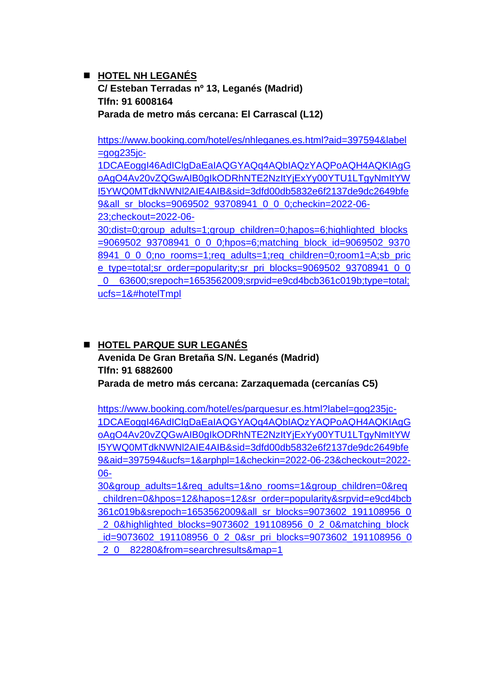### ◼ **HOTEL NH LEGANÉS C/ Esteban Terradas nº 13, Leganés (Madrid) Tlfn: 91 6008164 Parada de metro más cercana: El Carrascal (L12)**

[https://www.booking.com/hotel/es/nhleganes.es.html?aid=397594&label](https://www.booking.com/hotel/es/nhleganes.es.html?aid=397594&label=gog235jc-1DCAEoggI46AdIClgDaEaIAQGYAQq4AQbIAQzYAQPoAQH4AQKIAgGoAgO4Av20vZQGwAIB0gIkODRhNTE2NzItYjExYy00YTU1LTgyNmItYWI5YWQ0MTdkNWNl2AIE4AIB&sid=3dfd00db5832e6f2137de9dc2649bfe9&all_sr_blocks=9069502_93708941_0_0_0;checkin=2022-06-23;checkout=2022-06-30;dist=0;group_adults=1;group_children=0;hapos=6;highlighted_blocks=9069502_93708941_0_0_0;hpos=6;matching_block_id=9069502_93708941_0_0_0;no_rooms=1;req_adults=1;req_children=0;room1=A;sb_price_type=total;sr_order=popularity;sr_pri_blocks=9069502_93708941_0_0_0__63600;srepoch=1653562009;srpvid=e9cd4bcb361c019b;type=total;ucfs=1&#hotelTmpl)  $=$ gog $235$ jc-

[1DCAEoggI46AdIClgDaEaIAQGYAQq4AQbIAQzYAQPoAQH4AQKIAgG](https://www.booking.com/hotel/es/nhleganes.es.html?aid=397594&label=gog235jc-1DCAEoggI46AdIClgDaEaIAQGYAQq4AQbIAQzYAQPoAQH4AQKIAgGoAgO4Av20vZQGwAIB0gIkODRhNTE2NzItYjExYy00YTU1LTgyNmItYWI5YWQ0MTdkNWNl2AIE4AIB&sid=3dfd00db5832e6f2137de9dc2649bfe9&all_sr_blocks=9069502_93708941_0_0_0;checkin=2022-06-23;checkout=2022-06-30;dist=0;group_adults=1;group_children=0;hapos=6;highlighted_blocks=9069502_93708941_0_0_0;hpos=6;matching_block_id=9069502_93708941_0_0_0;no_rooms=1;req_adults=1;req_children=0;room1=A;sb_price_type=total;sr_order=popularity;sr_pri_blocks=9069502_93708941_0_0_0__63600;srepoch=1653562009;srpvid=e9cd4bcb361c019b;type=total;ucfs=1&#hotelTmpl) [oAgO4Av20vZQGwAIB0gIkODRhNTE2NzItYjExYy00YTU1LTgyNmItYW](https://www.booking.com/hotel/es/nhleganes.es.html?aid=397594&label=gog235jc-1DCAEoggI46AdIClgDaEaIAQGYAQq4AQbIAQzYAQPoAQH4AQKIAgGoAgO4Av20vZQGwAIB0gIkODRhNTE2NzItYjExYy00YTU1LTgyNmItYWI5YWQ0MTdkNWNl2AIE4AIB&sid=3dfd00db5832e6f2137de9dc2649bfe9&all_sr_blocks=9069502_93708941_0_0_0;checkin=2022-06-23;checkout=2022-06-30;dist=0;group_adults=1;group_children=0;hapos=6;highlighted_blocks=9069502_93708941_0_0_0;hpos=6;matching_block_id=9069502_93708941_0_0_0;no_rooms=1;req_adults=1;req_children=0;room1=A;sb_price_type=total;sr_order=popularity;sr_pri_blocks=9069502_93708941_0_0_0__63600;srepoch=1653562009;srpvid=e9cd4bcb361c019b;type=total;ucfs=1&#hotelTmpl) [I5YWQ0MTdkNWNl2AIE4AIB&sid=3dfd00db5832e6f2137de9dc2649bfe](https://www.booking.com/hotel/es/nhleganes.es.html?aid=397594&label=gog235jc-1DCAEoggI46AdIClgDaEaIAQGYAQq4AQbIAQzYAQPoAQH4AQKIAgGoAgO4Av20vZQGwAIB0gIkODRhNTE2NzItYjExYy00YTU1LTgyNmItYWI5YWQ0MTdkNWNl2AIE4AIB&sid=3dfd00db5832e6f2137de9dc2649bfe9&all_sr_blocks=9069502_93708941_0_0_0;checkin=2022-06-23;checkout=2022-06-30;dist=0;group_adults=1;group_children=0;hapos=6;highlighted_blocks=9069502_93708941_0_0_0;hpos=6;matching_block_id=9069502_93708941_0_0_0;no_rooms=1;req_adults=1;req_children=0;room1=A;sb_price_type=total;sr_order=popularity;sr_pri_blocks=9069502_93708941_0_0_0__63600;srepoch=1653562009;srpvid=e9cd4bcb361c019b;type=total;ucfs=1&#hotelTmpl) [9&all\\_sr\\_blocks=9069502\\_93708941\\_0\\_0\\_0;checkin=2022-06-](https://www.booking.com/hotel/es/nhleganes.es.html?aid=397594&label=gog235jc-1DCAEoggI46AdIClgDaEaIAQGYAQq4AQbIAQzYAQPoAQH4AQKIAgGoAgO4Av20vZQGwAIB0gIkODRhNTE2NzItYjExYy00YTU1LTgyNmItYWI5YWQ0MTdkNWNl2AIE4AIB&sid=3dfd00db5832e6f2137de9dc2649bfe9&all_sr_blocks=9069502_93708941_0_0_0;checkin=2022-06-23;checkout=2022-06-30;dist=0;group_adults=1;group_children=0;hapos=6;highlighted_blocks=9069502_93708941_0_0_0;hpos=6;matching_block_id=9069502_93708941_0_0_0;no_rooms=1;req_adults=1;req_children=0;room1=A;sb_price_type=total;sr_order=popularity;sr_pri_blocks=9069502_93708941_0_0_0__63600;srepoch=1653562009;srpvid=e9cd4bcb361c019b;type=total;ucfs=1&#hotelTmpl) [23;checkout=2022-06-](https://www.booking.com/hotel/es/nhleganes.es.html?aid=397594&label=gog235jc-1DCAEoggI46AdIClgDaEaIAQGYAQq4AQbIAQzYAQPoAQH4AQKIAgGoAgO4Av20vZQGwAIB0gIkODRhNTE2NzItYjExYy00YTU1LTgyNmItYWI5YWQ0MTdkNWNl2AIE4AIB&sid=3dfd00db5832e6f2137de9dc2649bfe9&all_sr_blocks=9069502_93708941_0_0_0;checkin=2022-06-23;checkout=2022-06-30;dist=0;group_adults=1;group_children=0;hapos=6;highlighted_blocks=9069502_93708941_0_0_0;hpos=6;matching_block_id=9069502_93708941_0_0_0;no_rooms=1;req_adults=1;req_children=0;room1=A;sb_price_type=total;sr_order=popularity;sr_pri_blocks=9069502_93708941_0_0_0__63600;srepoch=1653562009;srpvid=e9cd4bcb361c019b;type=total;ucfs=1&#hotelTmpl)

[30;dist=0;group\\_adults=1;group\\_children=0;hapos=6;highlighted\\_blocks](https://www.booking.com/hotel/es/nhleganes.es.html?aid=397594&label=gog235jc-1DCAEoggI46AdIClgDaEaIAQGYAQq4AQbIAQzYAQPoAQH4AQKIAgGoAgO4Av20vZQGwAIB0gIkODRhNTE2NzItYjExYy00YTU1LTgyNmItYWI5YWQ0MTdkNWNl2AIE4AIB&sid=3dfd00db5832e6f2137de9dc2649bfe9&all_sr_blocks=9069502_93708941_0_0_0;checkin=2022-06-23;checkout=2022-06-30;dist=0;group_adults=1;group_children=0;hapos=6;highlighted_blocks=9069502_93708941_0_0_0;hpos=6;matching_block_id=9069502_93708941_0_0_0;no_rooms=1;req_adults=1;req_children=0;room1=A;sb_price_type=total;sr_order=popularity;sr_pri_blocks=9069502_93708941_0_0_0__63600;srepoch=1653562009;srpvid=e9cd4bcb361c019b;type=total;ucfs=1&#hotelTmpl) [=9069502\\_93708941\\_0\\_0\\_0;hpos=6;matching\\_block\\_id=9069502\\_9370](https://www.booking.com/hotel/es/nhleganes.es.html?aid=397594&label=gog235jc-1DCAEoggI46AdIClgDaEaIAQGYAQq4AQbIAQzYAQPoAQH4AQKIAgGoAgO4Av20vZQGwAIB0gIkODRhNTE2NzItYjExYy00YTU1LTgyNmItYWI5YWQ0MTdkNWNl2AIE4AIB&sid=3dfd00db5832e6f2137de9dc2649bfe9&all_sr_blocks=9069502_93708941_0_0_0;checkin=2022-06-23;checkout=2022-06-30;dist=0;group_adults=1;group_children=0;hapos=6;highlighted_blocks=9069502_93708941_0_0_0;hpos=6;matching_block_id=9069502_93708941_0_0_0;no_rooms=1;req_adults=1;req_children=0;room1=A;sb_price_type=total;sr_order=popularity;sr_pri_blocks=9069502_93708941_0_0_0__63600;srepoch=1653562009;srpvid=e9cd4bcb361c019b;type=total;ucfs=1&#hotelTmpl) [8941\\_0\\_0\\_0;no\\_rooms=1;req\\_adults=1;req\\_children=0;room1=A;sb\\_pric](https://www.booking.com/hotel/es/nhleganes.es.html?aid=397594&label=gog235jc-1DCAEoggI46AdIClgDaEaIAQGYAQq4AQbIAQzYAQPoAQH4AQKIAgGoAgO4Av20vZQGwAIB0gIkODRhNTE2NzItYjExYy00YTU1LTgyNmItYWI5YWQ0MTdkNWNl2AIE4AIB&sid=3dfd00db5832e6f2137de9dc2649bfe9&all_sr_blocks=9069502_93708941_0_0_0;checkin=2022-06-23;checkout=2022-06-30;dist=0;group_adults=1;group_children=0;hapos=6;highlighted_blocks=9069502_93708941_0_0_0;hpos=6;matching_block_id=9069502_93708941_0_0_0;no_rooms=1;req_adults=1;req_children=0;room1=A;sb_price_type=total;sr_order=popularity;sr_pri_blocks=9069502_93708941_0_0_0__63600;srepoch=1653562009;srpvid=e9cd4bcb361c019b;type=total;ucfs=1&#hotelTmpl) [e\\_type=total;sr\\_order=popularity;sr\\_pri\\_blocks=9069502\\_93708941\\_0\\_0](https://www.booking.com/hotel/es/nhleganes.es.html?aid=397594&label=gog235jc-1DCAEoggI46AdIClgDaEaIAQGYAQq4AQbIAQzYAQPoAQH4AQKIAgGoAgO4Av20vZQGwAIB0gIkODRhNTE2NzItYjExYy00YTU1LTgyNmItYWI5YWQ0MTdkNWNl2AIE4AIB&sid=3dfd00db5832e6f2137de9dc2649bfe9&all_sr_blocks=9069502_93708941_0_0_0;checkin=2022-06-23;checkout=2022-06-30;dist=0;group_adults=1;group_children=0;hapos=6;highlighted_blocks=9069502_93708941_0_0_0;hpos=6;matching_block_id=9069502_93708941_0_0_0;no_rooms=1;req_adults=1;req_children=0;room1=A;sb_price_type=total;sr_order=popularity;sr_pri_blocks=9069502_93708941_0_0_0__63600;srepoch=1653562009;srpvid=e9cd4bcb361c019b;type=total;ucfs=1&#hotelTmpl) [\\_0\\_\\_63600;srepoch=1653562009;srpvid=e9cd4bcb361c019b;type=total;](https://www.booking.com/hotel/es/nhleganes.es.html?aid=397594&label=gog235jc-1DCAEoggI46AdIClgDaEaIAQGYAQq4AQbIAQzYAQPoAQH4AQKIAgGoAgO4Av20vZQGwAIB0gIkODRhNTE2NzItYjExYy00YTU1LTgyNmItYWI5YWQ0MTdkNWNl2AIE4AIB&sid=3dfd00db5832e6f2137de9dc2649bfe9&all_sr_blocks=9069502_93708941_0_0_0;checkin=2022-06-23;checkout=2022-06-30;dist=0;group_adults=1;group_children=0;hapos=6;highlighted_blocks=9069502_93708941_0_0_0;hpos=6;matching_block_id=9069502_93708941_0_0_0;no_rooms=1;req_adults=1;req_children=0;room1=A;sb_price_type=total;sr_order=popularity;sr_pri_blocks=9069502_93708941_0_0_0__63600;srepoch=1653562009;srpvid=e9cd4bcb361c019b;type=total;ucfs=1&#hotelTmpl) [ucfs=1&#hotelTmpl](https://www.booking.com/hotel/es/nhleganes.es.html?aid=397594&label=gog235jc-1DCAEoggI46AdIClgDaEaIAQGYAQq4AQbIAQzYAQPoAQH4AQKIAgGoAgO4Av20vZQGwAIB0gIkODRhNTE2NzItYjExYy00YTU1LTgyNmItYWI5YWQ0MTdkNWNl2AIE4AIB&sid=3dfd00db5832e6f2137de9dc2649bfe9&all_sr_blocks=9069502_93708941_0_0_0;checkin=2022-06-23;checkout=2022-06-30;dist=0;group_adults=1;group_children=0;hapos=6;highlighted_blocks=9069502_93708941_0_0_0;hpos=6;matching_block_id=9069502_93708941_0_0_0;no_rooms=1;req_adults=1;req_children=0;room1=A;sb_price_type=total;sr_order=popularity;sr_pri_blocks=9069502_93708941_0_0_0__63600;srepoch=1653562009;srpvid=e9cd4bcb361c019b;type=total;ucfs=1&#hotelTmpl) 

### ◼ **HOTEL PARQUE SUR LEGANÉS Avenida De Gran Bretaña S/N. Leganés (Madrid) Tlfn: 91 6882600 Parada de metro más cercana: Zarzaquemada (cercanías C5)**

[https://www.booking.com/hotel/es/parquesur.es.html?label=gog235jc-](https://www.booking.com/hotel/es/parquesur.es.html?label=gog235jc-1DCAEoggI46AdIClgDaEaIAQGYAQq4AQbIAQzYAQPoAQH4AQKIAgGoAgO4Av20vZQGwAIB0gIkODRhNTE2NzItYjExYy00YTU1LTgyNmItYWI5YWQ0MTdkNWNl2AIE4AIB&sid=3dfd00db5832e6f2137de9dc2649bfe9&aid=397594&ucfs=1&arphpl=1&checkin=2022-06-23&checkout=2022-06-30&group_adults=1&req_adults=1&no_rooms=1&group_children=0&req_children=0&hpos=12&hapos=12&sr_order=popularity&srpvid=e9cd4bcb361c019b&srepoch=1653562009&all_sr_blocks=9073602_191108956_0_2_0&highlighted_blocks=9073602_191108956_0_2_0&matching_block_id=9073602_191108956_0_2_0&sr_pri_blocks=9073602_191108956_0_2_0__82280&from=searchresults&map=1)[1DCAEoggI46AdIClgDaEaIAQGYAQq4AQbIAQzYAQPoAQH4AQKIAgG](https://www.booking.com/hotel/es/parquesur.es.html?label=gog235jc-1DCAEoggI46AdIClgDaEaIAQGYAQq4AQbIAQzYAQPoAQH4AQKIAgGoAgO4Av20vZQGwAIB0gIkODRhNTE2NzItYjExYy00YTU1LTgyNmItYWI5YWQ0MTdkNWNl2AIE4AIB&sid=3dfd00db5832e6f2137de9dc2649bfe9&aid=397594&ucfs=1&arphpl=1&checkin=2022-06-23&checkout=2022-06-30&group_adults=1&req_adults=1&no_rooms=1&group_children=0&req_children=0&hpos=12&hapos=12&sr_order=popularity&srpvid=e9cd4bcb361c019b&srepoch=1653562009&all_sr_blocks=9073602_191108956_0_2_0&highlighted_blocks=9073602_191108956_0_2_0&matching_block_id=9073602_191108956_0_2_0&sr_pri_blocks=9073602_191108956_0_2_0__82280&from=searchresults&map=1) [oAgO4Av20vZQGwAIB0gIkODRhNTE2NzItYjExYy00YTU1LTgyNmItYW](https://www.booking.com/hotel/es/parquesur.es.html?label=gog235jc-1DCAEoggI46AdIClgDaEaIAQGYAQq4AQbIAQzYAQPoAQH4AQKIAgGoAgO4Av20vZQGwAIB0gIkODRhNTE2NzItYjExYy00YTU1LTgyNmItYWI5YWQ0MTdkNWNl2AIE4AIB&sid=3dfd00db5832e6f2137de9dc2649bfe9&aid=397594&ucfs=1&arphpl=1&checkin=2022-06-23&checkout=2022-06-30&group_adults=1&req_adults=1&no_rooms=1&group_children=0&req_children=0&hpos=12&hapos=12&sr_order=popularity&srpvid=e9cd4bcb361c019b&srepoch=1653562009&all_sr_blocks=9073602_191108956_0_2_0&highlighted_blocks=9073602_191108956_0_2_0&matching_block_id=9073602_191108956_0_2_0&sr_pri_blocks=9073602_191108956_0_2_0__82280&from=searchresults&map=1) [I5YWQ0MTdkNWNl2AIE4AIB&sid=3dfd00db5832e6f2137de9dc2649bfe](https://www.booking.com/hotel/es/parquesur.es.html?label=gog235jc-1DCAEoggI46AdIClgDaEaIAQGYAQq4AQbIAQzYAQPoAQH4AQKIAgGoAgO4Av20vZQGwAIB0gIkODRhNTE2NzItYjExYy00YTU1LTgyNmItYWI5YWQ0MTdkNWNl2AIE4AIB&sid=3dfd00db5832e6f2137de9dc2649bfe9&aid=397594&ucfs=1&arphpl=1&checkin=2022-06-23&checkout=2022-06-30&group_adults=1&req_adults=1&no_rooms=1&group_children=0&req_children=0&hpos=12&hapos=12&sr_order=popularity&srpvid=e9cd4bcb361c019b&srepoch=1653562009&all_sr_blocks=9073602_191108956_0_2_0&highlighted_blocks=9073602_191108956_0_2_0&matching_block_id=9073602_191108956_0_2_0&sr_pri_blocks=9073602_191108956_0_2_0__82280&from=searchresults&map=1) [9&aid=397594&ucfs=1&arphpl=1&checkin=2022-06-23&checkout=2022-](https://www.booking.com/hotel/es/parquesur.es.html?label=gog235jc-1DCAEoggI46AdIClgDaEaIAQGYAQq4AQbIAQzYAQPoAQH4AQKIAgGoAgO4Av20vZQGwAIB0gIkODRhNTE2NzItYjExYy00YTU1LTgyNmItYWI5YWQ0MTdkNWNl2AIE4AIB&sid=3dfd00db5832e6f2137de9dc2649bfe9&aid=397594&ucfs=1&arphpl=1&checkin=2022-06-23&checkout=2022-06-30&group_adults=1&req_adults=1&no_rooms=1&group_children=0&req_children=0&hpos=12&hapos=12&sr_order=popularity&srpvid=e9cd4bcb361c019b&srepoch=1653562009&all_sr_blocks=9073602_191108956_0_2_0&highlighted_blocks=9073602_191108956_0_2_0&matching_block_id=9073602_191108956_0_2_0&sr_pri_blocks=9073602_191108956_0_2_0__82280&from=searchresults&map=1) [06-](https://www.booking.com/hotel/es/parquesur.es.html?label=gog235jc-1DCAEoggI46AdIClgDaEaIAQGYAQq4AQbIAQzYAQPoAQH4AQKIAgGoAgO4Av20vZQGwAIB0gIkODRhNTE2NzItYjExYy00YTU1LTgyNmItYWI5YWQ0MTdkNWNl2AIE4AIB&sid=3dfd00db5832e6f2137de9dc2649bfe9&aid=397594&ucfs=1&arphpl=1&checkin=2022-06-23&checkout=2022-06-30&group_adults=1&req_adults=1&no_rooms=1&group_children=0&req_children=0&hpos=12&hapos=12&sr_order=popularity&srpvid=e9cd4bcb361c019b&srepoch=1653562009&all_sr_blocks=9073602_191108956_0_2_0&highlighted_blocks=9073602_191108956_0_2_0&matching_block_id=9073602_191108956_0_2_0&sr_pri_blocks=9073602_191108956_0_2_0__82280&from=searchresults&map=1)

[30&group\\_adults=1&req\\_adults=1&no\\_rooms=1&group\\_children=0&req](https://www.booking.com/hotel/es/parquesur.es.html?label=gog235jc-1DCAEoggI46AdIClgDaEaIAQGYAQq4AQbIAQzYAQPoAQH4AQKIAgGoAgO4Av20vZQGwAIB0gIkODRhNTE2NzItYjExYy00YTU1LTgyNmItYWI5YWQ0MTdkNWNl2AIE4AIB&sid=3dfd00db5832e6f2137de9dc2649bfe9&aid=397594&ucfs=1&arphpl=1&checkin=2022-06-23&checkout=2022-06-30&group_adults=1&req_adults=1&no_rooms=1&group_children=0&req_children=0&hpos=12&hapos=12&sr_order=popularity&srpvid=e9cd4bcb361c019b&srepoch=1653562009&all_sr_blocks=9073602_191108956_0_2_0&highlighted_blocks=9073602_191108956_0_2_0&matching_block_id=9073602_191108956_0_2_0&sr_pri_blocks=9073602_191108956_0_2_0__82280&from=searchresults&map=1) [\\_children=0&hpos=12&hapos=12&sr\\_order=popularity&srpvid=e9cd4bcb](https://www.booking.com/hotel/es/parquesur.es.html?label=gog235jc-1DCAEoggI46AdIClgDaEaIAQGYAQq4AQbIAQzYAQPoAQH4AQKIAgGoAgO4Av20vZQGwAIB0gIkODRhNTE2NzItYjExYy00YTU1LTgyNmItYWI5YWQ0MTdkNWNl2AIE4AIB&sid=3dfd00db5832e6f2137de9dc2649bfe9&aid=397594&ucfs=1&arphpl=1&checkin=2022-06-23&checkout=2022-06-30&group_adults=1&req_adults=1&no_rooms=1&group_children=0&req_children=0&hpos=12&hapos=12&sr_order=popularity&srpvid=e9cd4bcb361c019b&srepoch=1653562009&all_sr_blocks=9073602_191108956_0_2_0&highlighted_blocks=9073602_191108956_0_2_0&matching_block_id=9073602_191108956_0_2_0&sr_pri_blocks=9073602_191108956_0_2_0__82280&from=searchresults&map=1) [361c019b&srepoch=1653562009&all\\_sr\\_blocks=9073602\\_191108956\\_0](https://www.booking.com/hotel/es/parquesur.es.html?label=gog235jc-1DCAEoggI46AdIClgDaEaIAQGYAQq4AQbIAQzYAQPoAQH4AQKIAgGoAgO4Av20vZQGwAIB0gIkODRhNTE2NzItYjExYy00YTU1LTgyNmItYWI5YWQ0MTdkNWNl2AIE4AIB&sid=3dfd00db5832e6f2137de9dc2649bfe9&aid=397594&ucfs=1&arphpl=1&checkin=2022-06-23&checkout=2022-06-30&group_adults=1&req_adults=1&no_rooms=1&group_children=0&req_children=0&hpos=12&hapos=12&sr_order=popularity&srpvid=e9cd4bcb361c019b&srepoch=1653562009&all_sr_blocks=9073602_191108956_0_2_0&highlighted_blocks=9073602_191108956_0_2_0&matching_block_id=9073602_191108956_0_2_0&sr_pri_blocks=9073602_191108956_0_2_0__82280&from=searchresults&map=1) [\\_2\\_0&highlighted\\_blocks=9073602\\_191108956\\_0\\_2\\_0&matching\\_block](https://www.booking.com/hotel/es/parquesur.es.html?label=gog235jc-1DCAEoggI46AdIClgDaEaIAQGYAQq4AQbIAQzYAQPoAQH4AQKIAgGoAgO4Av20vZQGwAIB0gIkODRhNTE2NzItYjExYy00YTU1LTgyNmItYWI5YWQ0MTdkNWNl2AIE4AIB&sid=3dfd00db5832e6f2137de9dc2649bfe9&aid=397594&ucfs=1&arphpl=1&checkin=2022-06-23&checkout=2022-06-30&group_adults=1&req_adults=1&no_rooms=1&group_children=0&req_children=0&hpos=12&hapos=12&sr_order=popularity&srpvid=e9cd4bcb361c019b&srepoch=1653562009&all_sr_blocks=9073602_191108956_0_2_0&highlighted_blocks=9073602_191108956_0_2_0&matching_block_id=9073602_191108956_0_2_0&sr_pri_blocks=9073602_191108956_0_2_0__82280&from=searchresults&map=1) id=9073602 191108956 0 2 0&sr pri blocks=9073602 191108956 0 2\_0\_\_82280&from=searchresults&map=1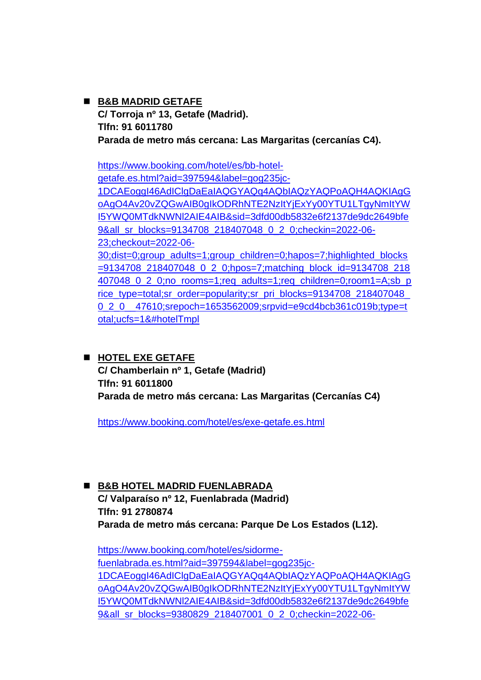◼ **B&B MADRID GETAFE C/ Torroja nº 13, Getafe (Madrid). Tlfn: 91 6011780 Parada de metro más cercana: Las Margaritas (cercanías C4).**

[https://www.booking.com/hotel/es/bb-hotel](https://www.booking.com/hotel/es/bb-hotel-getafe.es.html?aid=397594&label=gog235jc-1DCAEoggI46AdIClgDaEaIAQGYAQq4AQbIAQzYAQPoAQH4AQKIAgGoAgO4Av20vZQGwAIB0gIkODRhNTE2NzItYjExYy00YTU1LTgyNmItYWI5YWQ0MTdkNWNl2AIE4AIB&sid=3dfd00db5832e6f2137de9dc2649bfe9&all_sr_blocks=9134708_218407048_0_2_0;checkin=2022-06-23;checkout=2022-06-30;dist=0;group_adults=1;group_children=0;hapos=7;highlighted_blocks=9134708_218407048_0_2_0;hpos=7;matching_block_id=9134708_218407048_0_2_0;no_rooms=1;req_adults=1;req_children=0;room1=A;sb_price_type=total;sr_order=popularity;sr_pri_blocks=9134708_218407048_0_2_0__47610;srepoch=1653562009;srpvid=e9cd4bcb361c019b;type=total;ucfs=1&#hotelTmpl)[getafe.es.html?aid=397594&label=gog235jc-](https://www.booking.com/hotel/es/bb-hotel-getafe.es.html?aid=397594&label=gog235jc-1DCAEoggI46AdIClgDaEaIAQGYAQq4AQbIAQzYAQPoAQH4AQKIAgGoAgO4Av20vZQGwAIB0gIkODRhNTE2NzItYjExYy00YTU1LTgyNmItYWI5YWQ0MTdkNWNl2AIE4AIB&sid=3dfd00db5832e6f2137de9dc2649bfe9&all_sr_blocks=9134708_218407048_0_2_0;checkin=2022-06-23;checkout=2022-06-30;dist=0;group_adults=1;group_children=0;hapos=7;highlighted_blocks=9134708_218407048_0_2_0;hpos=7;matching_block_id=9134708_218407048_0_2_0;no_rooms=1;req_adults=1;req_children=0;room1=A;sb_price_type=total;sr_order=popularity;sr_pri_blocks=9134708_218407048_0_2_0__47610;srepoch=1653562009;srpvid=e9cd4bcb361c019b;type=total;ucfs=1&#hotelTmpl)[1DCAEoggI46AdIClgDaEaIAQGYAQq4AQbIAQzYAQPoAQH4AQKIAgG](https://www.booking.com/hotel/es/bb-hotel-getafe.es.html?aid=397594&label=gog235jc-1DCAEoggI46AdIClgDaEaIAQGYAQq4AQbIAQzYAQPoAQH4AQKIAgGoAgO4Av20vZQGwAIB0gIkODRhNTE2NzItYjExYy00YTU1LTgyNmItYWI5YWQ0MTdkNWNl2AIE4AIB&sid=3dfd00db5832e6f2137de9dc2649bfe9&all_sr_blocks=9134708_218407048_0_2_0;checkin=2022-06-23;checkout=2022-06-30;dist=0;group_adults=1;group_children=0;hapos=7;highlighted_blocks=9134708_218407048_0_2_0;hpos=7;matching_block_id=9134708_218407048_0_2_0;no_rooms=1;req_adults=1;req_children=0;room1=A;sb_price_type=total;sr_order=popularity;sr_pri_blocks=9134708_218407048_0_2_0__47610;srepoch=1653562009;srpvid=e9cd4bcb361c019b;type=total;ucfs=1&#hotelTmpl) [oAgO4Av20vZQGwAIB0gIkODRhNTE2NzItYjExYy00YTU1LTgyNmItYW](https://www.booking.com/hotel/es/bb-hotel-getafe.es.html?aid=397594&label=gog235jc-1DCAEoggI46AdIClgDaEaIAQGYAQq4AQbIAQzYAQPoAQH4AQKIAgGoAgO4Av20vZQGwAIB0gIkODRhNTE2NzItYjExYy00YTU1LTgyNmItYWI5YWQ0MTdkNWNl2AIE4AIB&sid=3dfd00db5832e6f2137de9dc2649bfe9&all_sr_blocks=9134708_218407048_0_2_0;checkin=2022-06-23;checkout=2022-06-30;dist=0;group_adults=1;group_children=0;hapos=7;highlighted_blocks=9134708_218407048_0_2_0;hpos=7;matching_block_id=9134708_218407048_0_2_0;no_rooms=1;req_adults=1;req_children=0;room1=A;sb_price_type=total;sr_order=popularity;sr_pri_blocks=9134708_218407048_0_2_0__47610;srepoch=1653562009;srpvid=e9cd4bcb361c019b;type=total;ucfs=1&#hotelTmpl) [I5YWQ0MTdkNWNl2AIE4AIB&sid=3dfd00db5832e6f2137de9dc2649bfe](https://www.booking.com/hotel/es/bb-hotel-getafe.es.html?aid=397594&label=gog235jc-1DCAEoggI46AdIClgDaEaIAQGYAQq4AQbIAQzYAQPoAQH4AQKIAgGoAgO4Av20vZQGwAIB0gIkODRhNTE2NzItYjExYy00YTU1LTgyNmItYWI5YWQ0MTdkNWNl2AIE4AIB&sid=3dfd00db5832e6f2137de9dc2649bfe9&all_sr_blocks=9134708_218407048_0_2_0;checkin=2022-06-23;checkout=2022-06-30;dist=0;group_adults=1;group_children=0;hapos=7;highlighted_blocks=9134708_218407048_0_2_0;hpos=7;matching_block_id=9134708_218407048_0_2_0;no_rooms=1;req_adults=1;req_children=0;room1=A;sb_price_type=total;sr_order=popularity;sr_pri_blocks=9134708_218407048_0_2_0__47610;srepoch=1653562009;srpvid=e9cd4bcb361c019b;type=total;ucfs=1&#hotelTmpl) [9&all\\_sr\\_blocks=9134708\\_218407048\\_0\\_2\\_0;checkin=2022-06-](https://www.booking.com/hotel/es/bb-hotel-getafe.es.html?aid=397594&label=gog235jc-1DCAEoggI46AdIClgDaEaIAQGYAQq4AQbIAQzYAQPoAQH4AQKIAgGoAgO4Av20vZQGwAIB0gIkODRhNTE2NzItYjExYy00YTU1LTgyNmItYWI5YWQ0MTdkNWNl2AIE4AIB&sid=3dfd00db5832e6f2137de9dc2649bfe9&all_sr_blocks=9134708_218407048_0_2_0;checkin=2022-06-23;checkout=2022-06-30;dist=0;group_adults=1;group_children=0;hapos=7;highlighted_blocks=9134708_218407048_0_2_0;hpos=7;matching_block_id=9134708_218407048_0_2_0;no_rooms=1;req_adults=1;req_children=0;room1=A;sb_price_type=total;sr_order=popularity;sr_pri_blocks=9134708_218407048_0_2_0__47610;srepoch=1653562009;srpvid=e9cd4bcb361c019b;type=total;ucfs=1&#hotelTmpl) [23;checkout=2022-06-](https://www.booking.com/hotel/es/bb-hotel-getafe.es.html?aid=397594&label=gog235jc-1DCAEoggI46AdIClgDaEaIAQGYAQq4AQbIAQzYAQPoAQH4AQKIAgGoAgO4Av20vZQGwAIB0gIkODRhNTE2NzItYjExYy00YTU1LTgyNmItYWI5YWQ0MTdkNWNl2AIE4AIB&sid=3dfd00db5832e6f2137de9dc2649bfe9&all_sr_blocks=9134708_218407048_0_2_0;checkin=2022-06-23;checkout=2022-06-30;dist=0;group_adults=1;group_children=0;hapos=7;highlighted_blocks=9134708_218407048_0_2_0;hpos=7;matching_block_id=9134708_218407048_0_2_0;no_rooms=1;req_adults=1;req_children=0;room1=A;sb_price_type=total;sr_order=popularity;sr_pri_blocks=9134708_218407048_0_2_0__47610;srepoch=1653562009;srpvid=e9cd4bcb361c019b;type=total;ucfs=1&#hotelTmpl) [30;dist=0;group\\_adults=1;group\\_children=0;hapos=7;highlighted\\_blocks](https://www.booking.com/hotel/es/bb-hotel-getafe.es.html?aid=397594&label=gog235jc-1DCAEoggI46AdIClgDaEaIAQGYAQq4AQbIAQzYAQPoAQH4AQKIAgGoAgO4Av20vZQGwAIB0gIkODRhNTE2NzItYjExYy00YTU1LTgyNmItYWI5YWQ0MTdkNWNl2AIE4AIB&sid=3dfd00db5832e6f2137de9dc2649bfe9&all_sr_blocks=9134708_218407048_0_2_0;checkin=2022-06-23;checkout=2022-06-30;dist=0;group_adults=1;group_children=0;hapos=7;highlighted_blocks=9134708_218407048_0_2_0;hpos=7;matching_block_id=9134708_218407048_0_2_0;no_rooms=1;req_adults=1;req_children=0;room1=A;sb_price_type=total;sr_order=popularity;sr_pri_blocks=9134708_218407048_0_2_0__47610;srepoch=1653562009;srpvid=e9cd4bcb361c019b;type=total;ucfs=1&#hotelTmpl) [=9134708\\_218407048\\_0\\_2\\_0;hpos=7;matching\\_block\\_id=9134708\\_218](https://www.booking.com/hotel/es/bb-hotel-getafe.es.html?aid=397594&label=gog235jc-1DCAEoggI46AdIClgDaEaIAQGYAQq4AQbIAQzYAQPoAQH4AQKIAgGoAgO4Av20vZQGwAIB0gIkODRhNTE2NzItYjExYy00YTU1LTgyNmItYWI5YWQ0MTdkNWNl2AIE4AIB&sid=3dfd00db5832e6f2137de9dc2649bfe9&all_sr_blocks=9134708_218407048_0_2_0;checkin=2022-06-23;checkout=2022-06-30;dist=0;group_adults=1;group_children=0;hapos=7;highlighted_blocks=9134708_218407048_0_2_0;hpos=7;matching_block_id=9134708_218407048_0_2_0;no_rooms=1;req_adults=1;req_children=0;room1=A;sb_price_type=total;sr_order=popularity;sr_pri_blocks=9134708_218407048_0_2_0__47610;srepoch=1653562009;srpvid=e9cd4bcb361c019b;type=total;ucfs=1&#hotelTmpl) [407048\\_0\\_2\\_0;no\\_rooms=1;req\\_adults=1;req\\_children=0;room1=A;sb\\_p](https://www.booking.com/hotel/es/bb-hotel-getafe.es.html?aid=397594&label=gog235jc-1DCAEoggI46AdIClgDaEaIAQGYAQq4AQbIAQzYAQPoAQH4AQKIAgGoAgO4Av20vZQGwAIB0gIkODRhNTE2NzItYjExYy00YTU1LTgyNmItYWI5YWQ0MTdkNWNl2AIE4AIB&sid=3dfd00db5832e6f2137de9dc2649bfe9&all_sr_blocks=9134708_218407048_0_2_0;checkin=2022-06-23;checkout=2022-06-30;dist=0;group_adults=1;group_children=0;hapos=7;highlighted_blocks=9134708_218407048_0_2_0;hpos=7;matching_block_id=9134708_218407048_0_2_0;no_rooms=1;req_adults=1;req_children=0;room1=A;sb_price_type=total;sr_order=popularity;sr_pri_blocks=9134708_218407048_0_2_0__47610;srepoch=1653562009;srpvid=e9cd4bcb361c019b;type=total;ucfs=1&#hotelTmpl)\_ rice\_type=total;sr\_order=popularity;sr\_pri\_blocks=9134708\_218407048 [0\\_2\\_0\\_\\_47610;srepoch=1653562009;srpvid=e9cd4bcb361c019b;type=t](https://www.booking.com/hotel/es/bb-hotel-getafe.es.html?aid=397594&label=gog235jc-1DCAEoggI46AdIClgDaEaIAQGYAQq4AQbIAQzYAQPoAQH4AQKIAgGoAgO4Av20vZQGwAIB0gIkODRhNTE2NzItYjExYy00YTU1LTgyNmItYWI5YWQ0MTdkNWNl2AIE4AIB&sid=3dfd00db5832e6f2137de9dc2649bfe9&all_sr_blocks=9134708_218407048_0_2_0;checkin=2022-06-23;checkout=2022-06-30;dist=0;group_adults=1;group_children=0;hapos=7;highlighted_blocks=9134708_218407048_0_2_0;hpos=7;matching_block_id=9134708_218407048_0_2_0;no_rooms=1;req_adults=1;req_children=0;room1=A;sb_price_type=total;sr_order=popularity;sr_pri_blocks=9134708_218407048_0_2_0__47610;srepoch=1653562009;srpvid=e9cd4bcb361c019b;type=total;ucfs=1&#hotelTmpl) [otal;ucfs=1&#hotelTmpl](https://www.booking.com/hotel/es/bb-hotel-getafe.es.html?aid=397594&label=gog235jc-1DCAEoggI46AdIClgDaEaIAQGYAQq4AQbIAQzYAQPoAQH4AQKIAgGoAgO4Av20vZQGwAIB0gIkODRhNTE2NzItYjExYy00YTU1LTgyNmItYWI5YWQ0MTdkNWNl2AIE4AIB&sid=3dfd00db5832e6f2137de9dc2649bfe9&all_sr_blocks=9134708_218407048_0_2_0;checkin=2022-06-23;checkout=2022-06-30;dist=0;group_adults=1;group_children=0;hapos=7;highlighted_blocks=9134708_218407048_0_2_0;hpos=7;matching_block_id=9134708_218407048_0_2_0;no_rooms=1;req_adults=1;req_children=0;room1=A;sb_price_type=total;sr_order=popularity;sr_pri_blocks=9134708_218407048_0_2_0__47610;srepoch=1653562009;srpvid=e9cd4bcb361c019b;type=total;ucfs=1&#hotelTmpl) 

◼ **HOTEL EXE GETAFE C/ Chamberlain nº 1, Getafe (Madrid) Tlfn: 91 6011800 Parada de metro más cercana: Las Margaritas (Cercanías C4)**

<https://www.booking.com/hotel/es/exe-getafe.es.html>

◼ **B&B HOTEL MADRID FUENLABRADA C/ Valparaíso nº 12, Fuenlabrada (Madrid) Tlfn: 91 2780874 Parada de metro más cercana: Parque De Los Estados (L12).**

[https://www.booking.com/hotel/es/sidorme](https://www.booking.com/hotel/es/sidorme-fuenlabrada.es.html?aid=397594&label=gog235jc-1DCAEoggI46AdIClgDaEaIAQGYAQq4AQbIAQzYAQPoAQH4AQKIAgGoAgO4Av20vZQGwAIB0gIkODRhNTE2NzItYjExYy00YTU1LTgyNmItYWI5YWQ0MTdkNWNl2AIE4AIB&sid=3dfd00db5832e6f2137de9dc2649bfe9&all_sr_blocks=9380829_218407001_0_2_0;checkin=2022-06-23;checkout=2022-06-30;dist=0;group_adults=1;group_children=0;hapos=9;highlighted_blocks=9380829_218407001_0_2_0;hpos=9;matching_block_id=9380829_218407001_0_2_0;no_rooms=1;req_adults=1;req_children=0;room1=A;sb_price_type=total;sr_order=popularity;sr_pri_blocks=9380829_218407001_0_2_0__41940;srepoch=1653562009;srpvid=e9cd4bcb361c019b;type=total;ucfs=1&#hotelTmpl)[fuenlabrada.es.html?aid=397594&label=gog235jc-](https://www.booking.com/hotel/es/sidorme-fuenlabrada.es.html?aid=397594&label=gog235jc-1DCAEoggI46AdIClgDaEaIAQGYAQq4AQbIAQzYAQPoAQH4AQKIAgGoAgO4Av20vZQGwAIB0gIkODRhNTE2NzItYjExYy00YTU1LTgyNmItYWI5YWQ0MTdkNWNl2AIE4AIB&sid=3dfd00db5832e6f2137de9dc2649bfe9&all_sr_blocks=9380829_218407001_0_2_0;checkin=2022-06-23;checkout=2022-06-30;dist=0;group_adults=1;group_children=0;hapos=9;highlighted_blocks=9380829_218407001_0_2_0;hpos=9;matching_block_id=9380829_218407001_0_2_0;no_rooms=1;req_adults=1;req_children=0;room1=A;sb_price_type=total;sr_order=popularity;sr_pri_blocks=9380829_218407001_0_2_0__41940;srepoch=1653562009;srpvid=e9cd4bcb361c019b;type=total;ucfs=1&#hotelTmpl)[1DCAEoggI46AdIClgDaEaIAQGYAQq4AQbIAQzYAQPoAQH4AQKIAgG](https://www.booking.com/hotel/es/sidorme-fuenlabrada.es.html?aid=397594&label=gog235jc-1DCAEoggI46AdIClgDaEaIAQGYAQq4AQbIAQzYAQPoAQH4AQKIAgGoAgO4Av20vZQGwAIB0gIkODRhNTE2NzItYjExYy00YTU1LTgyNmItYWI5YWQ0MTdkNWNl2AIE4AIB&sid=3dfd00db5832e6f2137de9dc2649bfe9&all_sr_blocks=9380829_218407001_0_2_0;checkin=2022-06-23;checkout=2022-06-30;dist=0;group_adults=1;group_children=0;hapos=9;highlighted_blocks=9380829_218407001_0_2_0;hpos=9;matching_block_id=9380829_218407001_0_2_0;no_rooms=1;req_adults=1;req_children=0;room1=A;sb_price_type=total;sr_order=popularity;sr_pri_blocks=9380829_218407001_0_2_0__41940;srepoch=1653562009;srpvid=e9cd4bcb361c019b;type=total;ucfs=1&#hotelTmpl) [oAgO4Av20vZQGwAIB0gIkODRhNTE2NzItYjExYy00YTU1LTgyNmItYW](https://www.booking.com/hotel/es/sidorme-fuenlabrada.es.html?aid=397594&label=gog235jc-1DCAEoggI46AdIClgDaEaIAQGYAQq4AQbIAQzYAQPoAQH4AQKIAgGoAgO4Av20vZQGwAIB0gIkODRhNTE2NzItYjExYy00YTU1LTgyNmItYWI5YWQ0MTdkNWNl2AIE4AIB&sid=3dfd00db5832e6f2137de9dc2649bfe9&all_sr_blocks=9380829_218407001_0_2_0;checkin=2022-06-23;checkout=2022-06-30;dist=0;group_adults=1;group_children=0;hapos=9;highlighted_blocks=9380829_218407001_0_2_0;hpos=9;matching_block_id=9380829_218407001_0_2_0;no_rooms=1;req_adults=1;req_children=0;room1=A;sb_price_type=total;sr_order=popularity;sr_pri_blocks=9380829_218407001_0_2_0__41940;srepoch=1653562009;srpvid=e9cd4bcb361c019b;type=total;ucfs=1&#hotelTmpl) [I5YWQ0MTdkNWNl2AIE4AIB&sid=3dfd00db5832e6f2137de9dc2649bfe](https://www.booking.com/hotel/es/sidorme-fuenlabrada.es.html?aid=397594&label=gog235jc-1DCAEoggI46AdIClgDaEaIAQGYAQq4AQbIAQzYAQPoAQH4AQKIAgGoAgO4Av20vZQGwAIB0gIkODRhNTE2NzItYjExYy00YTU1LTgyNmItYWI5YWQ0MTdkNWNl2AIE4AIB&sid=3dfd00db5832e6f2137de9dc2649bfe9&all_sr_blocks=9380829_218407001_0_2_0;checkin=2022-06-23;checkout=2022-06-30;dist=0;group_adults=1;group_children=0;hapos=9;highlighted_blocks=9380829_218407001_0_2_0;hpos=9;matching_block_id=9380829_218407001_0_2_0;no_rooms=1;req_adults=1;req_children=0;room1=A;sb_price_type=total;sr_order=popularity;sr_pri_blocks=9380829_218407001_0_2_0__41940;srepoch=1653562009;srpvid=e9cd4bcb361c019b;type=total;ucfs=1&#hotelTmpl) [9&all\\_sr\\_blocks=9380829\\_218407001\\_0\\_2\\_0;checkin=2022-06-](https://www.booking.com/hotel/es/sidorme-fuenlabrada.es.html?aid=397594&label=gog235jc-1DCAEoggI46AdIClgDaEaIAQGYAQq4AQbIAQzYAQPoAQH4AQKIAgGoAgO4Av20vZQGwAIB0gIkODRhNTE2NzItYjExYy00YTU1LTgyNmItYWI5YWQ0MTdkNWNl2AIE4AIB&sid=3dfd00db5832e6f2137de9dc2649bfe9&all_sr_blocks=9380829_218407001_0_2_0;checkin=2022-06-23;checkout=2022-06-30;dist=0;group_adults=1;group_children=0;hapos=9;highlighted_blocks=9380829_218407001_0_2_0;hpos=9;matching_block_id=9380829_218407001_0_2_0;no_rooms=1;req_adults=1;req_children=0;room1=A;sb_price_type=total;sr_order=popularity;sr_pri_blocks=9380829_218407001_0_2_0__41940;srepoch=1653562009;srpvid=e9cd4bcb361c019b;type=total;ucfs=1&#hotelTmpl)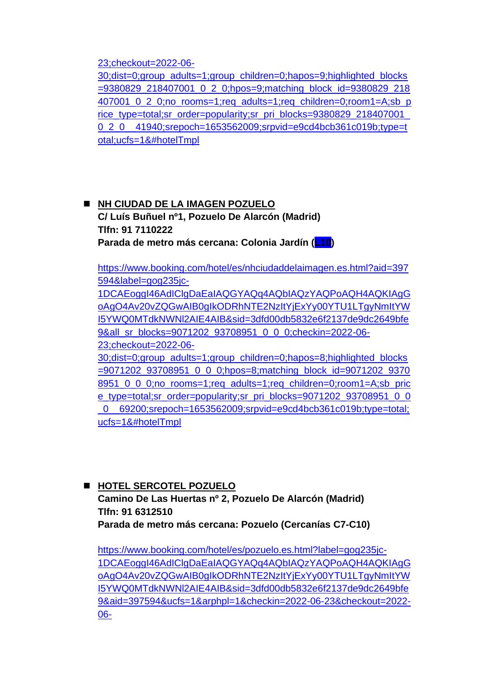[23;checkout=2022-06-](https://www.booking.com/hotel/es/sidorme-fuenlabrada.es.html?aid=397594&label=gog235jc-1DCAEoggI46AdIClgDaEaIAQGYAQq4AQbIAQzYAQPoAQH4AQKIAgGoAgO4Av20vZQGwAIB0gIkODRhNTE2NzItYjExYy00YTU1LTgyNmItYWI5YWQ0MTdkNWNl2AIE4AIB&sid=3dfd00db5832e6f2137de9dc2649bfe9&all_sr_blocks=9380829_218407001_0_2_0;checkin=2022-06-23;checkout=2022-06-30;dist=0;group_adults=1;group_children=0;hapos=9;highlighted_blocks=9380829_218407001_0_2_0;hpos=9;matching_block_id=9380829_218407001_0_2_0;no_rooms=1;req_adults=1;req_children=0;room1=A;sb_price_type=total;sr_order=popularity;sr_pri_blocks=9380829_218407001_0_2_0__41940;srepoch=1653562009;srpvid=e9cd4bcb361c019b;type=total;ucfs=1&#hotelTmpl)

[30;dist=0;group\\_adults=1;group\\_children=0;hapos=9;highlighted\\_blocks](https://www.booking.com/hotel/es/sidorme-fuenlabrada.es.html?aid=397594&label=gog235jc-1DCAEoggI46AdIClgDaEaIAQGYAQq4AQbIAQzYAQPoAQH4AQKIAgGoAgO4Av20vZQGwAIB0gIkODRhNTE2NzItYjExYy00YTU1LTgyNmItYWI5YWQ0MTdkNWNl2AIE4AIB&sid=3dfd00db5832e6f2137de9dc2649bfe9&all_sr_blocks=9380829_218407001_0_2_0;checkin=2022-06-23;checkout=2022-06-30;dist=0;group_adults=1;group_children=0;hapos=9;highlighted_blocks=9380829_218407001_0_2_0;hpos=9;matching_block_id=9380829_218407001_0_2_0;no_rooms=1;req_adults=1;req_children=0;room1=A;sb_price_type=total;sr_order=popularity;sr_pri_blocks=9380829_218407001_0_2_0__41940;srepoch=1653562009;srpvid=e9cd4bcb361c019b;type=total;ucfs=1&#hotelTmpl) [=9380829\\_218407001\\_0\\_2\\_0;hpos=9;matching\\_block\\_id=9380829\\_218](https://www.booking.com/hotel/es/sidorme-fuenlabrada.es.html?aid=397594&label=gog235jc-1DCAEoggI46AdIClgDaEaIAQGYAQq4AQbIAQzYAQPoAQH4AQKIAgGoAgO4Av20vZQGwAIB0gIkODRhNTE2NzItYjExYy00YTU1LTgyNmItYWI5YWQ0MTdkNWNl2AIE4AIB&sid=3dfd00db5832e6f2137de9dc2649bfe9&all_sr_blocks=9380829_218407001_0_2_0;checkin=2022-06-23;checkout=2022-06-30;dist=0;group_adults=1;group_children=0;hapos=9;highlighted_blocks=9380829_218407001_0_2_0;hpos=9;matching_block_id=9380829_218407001_0_2_0;no_rooms=1;req_adults=1;req_children=0;room1=A;sb_price_type=total;sr_order=popularity;sr_pri_blocks=9380829_218407001_0_2_0__41940;srepoch=1653562009;srpvid=e9cd4bcb361c019b;type=total;ucfs=1&#hotelTmpl) [407001\\_0\\_2\\_0;no\\_rooms=1;req\\_adults=1;req\\_children=0;room1=A;sb\\_p](https://www.booking.com/hotel/es/sidorme-fuenlabrada.es.html?aid=397594&label=gog235jc-1DCAEoggI46AdIClgDaEaIAQGYAQq4AQbIAQzYAQPoAQH4AQKIAgGoAgO4Av20vZQGwAIB0gIkODRhNTE2NzItYjExYy00YTU1LTgyNmItYWI5YWQ0MTdkNWNl2AIE4AIB&sid=3dfd00db5832e6f2137de9dc2649bfe9&all_sr_blocks=9380829_218407001_0_2_0;checkin=2022-06-23;checkout=2022-06-30;dist=0;group_adults=1;group_children=0;hapos=9;highlighted_blocks=9380829_218407001_0_2_0;hpos=9;matching_block_id=9380829_218407001_0_2_0;no_rooms=1;req_adults=1;req_children=0;room1=A;sb_price_type=total;sr_order=popularity;sr_pri_blocks=9380829_218407001_0_2_0__41940;srepoch=1653562009;srpvid=e9cd4bcb361c019b;type=total;ucfs=1&#hotelTmpl)\_ rice\_type=total;sr\_order=popularity;sr\_pri\_blocks=9380829\_218407001 [0\\_2\\_0\\_\\_41940;srepoch=1653562009;srpvid=e9cd4bcb361c019b;type=t](https://www.booking.com/hotel/es/sidorme-fuenlabrada.es.html?aid=397594&label=gog235jc-1DCAEoggI46AdIClgDaEaIAQGYAQq4AQbIAQzYAQPoAQH4AQKIAgGoAgO4Av20vZQGwAIB0gIkODRhNTE2NzItYjExYy00YTU1LTgyNmItYWI5YWQ0MTdkNWNl2AIE4AIB&sid=3dfd00db5832e6f2137de9dc2649bfe9&all_sr_blocks=9380829_218407001_0_2_0;checkin=2022-06-23;checkout=2022-06-30;dist=0;group_adults=1;group_children=0;hapos=9;highlighted_blocks=9380829_218407001_0_2_0;hpos=9;matching_block_id=9380829_218407001_0_2_0;no_rooms=1;req_adults=1;req_children=0;room1=A;sb_price_type=total;sr_order=popularity;sr_pri_blocks=9380829_218407001_0_2_0__41940;srepoch=1653562009;srpvid=e9cd4bcb361c019b;type=total;ucfs=1&#hotelTmpl) [otal;ucfs=1&#hotelTmpl](https://www.booking.com/hotel/es/sidorme-fuenlabrada.es.html?aid=397594&label=gog235jc-1DCAEoggI46AdIClgDaEaIAQGYAQq4AQbIAQzYAQPoAQH4AQKIAgGoAgO4Av20vZQGwAIB0gIkODRhNTE2NzItYjExYy00YTU1LTgyNmItYWI5YWQ0MTdkNWNl2AIE4AIB&sid=3dfd00db5832e6f2137de9dc2649bfe9&all_sr_blocks=9380829_218407001_0_2_0;checkin=2022-06-23;checkout=2022-06-30;dist=0;group_adults=1;group_children=0;hapos=9;highlighted_blocks=9380829_218407001_0_2_0;hpos=9;matching_block_id=9380829_218407001_0_2_0;no_rooms=1;req_adults=1;req_children=0;room1=A;sb_price_type=total;sr_order=popularity;sr_pri_blocks=9380829_218407001_0_2_0__41940;srepoch=1653562009;srpvid=e9cd4bcb361c019b;type=total;ucfs=1&#hotelTmpl) 

◼ **NH CIUDAD DE LA IMAGEN POZUELO C/ Luís Buñuel nº1, Pozuelo De Alarcón (Madrid) Tlfn: 91 7110222 Parada de metro más cercana: Colonia Jardín (L10)**

[https://www.booking.com/hotel/es/nhciudaddelaimagen.es.html?aid=397](https://www.booking.com/hotel/es/nhciudaddelaimagen.es.html?aid=397594&label=gog235jc-1DCAEoggI46AdIClgDaEaIAQGYAQq4AQbIAQzYAQPoAQH4AQKIAgGoAgO4Av20vZQGwAIB0gIkODRhNTE2NzItYjExYy00YTU1LTgyNmItYWI5YWQ0MTdkNWNl2AIE4AIB&sid=3dfd00db5832e6f2137de9dc2649bfe9&all_sr_blocks=9071202_93708951_0_0_0;checkin=2022-06-23;checkout=2022-06-30;dist=0;group_adults=1;group_children=0;hapos=8;highlighted_blocks=9071202_93708951_0_0_0;hpos=8;matching_block_id=9071202_93708951_0_0_0;no_rooms=1;req_adults=1;req_children=0;room1=A;sb_price_type=total;sr_order=popularity;sr_pri_blocks=9071202_93708951_0_0_0__69200;srepoch=1653562009;srpvid=e9cd4bcb361c019b;type=total;ucfs=1&#hotelTmpl) [594&label=gog235jc-](https://www.booking.com/hotel/es/nhciudaddelaimagen.es.html?aid=397594&label=gog235jc-1DCAEoggI46AdIClgDaEaIAQGYAQq4AQbIAQzYAQPoAQH4AQKIAgGoAgO4Av20vZQGwAIB0gIkODRhNTE2NzItYjExYy00YTU1LTgyNmItYWI5YWQ0MTdkNWNl2AIE4AIB&sid=3dfd00db5832e6f2137de9dc2649bfe9&all_sr_blocks=9071202_93708951_0_0_0;checkin=2022-06-23;checkout=2022-06-30;dist=0;group_adults=1;group_children=0;hapos=8;highlighted_blocks=9071202_93708951_0_0_0;hpos=8;matching_block_id=9071202_93708951_0_0_0;no_rooms=1;req_adults=1;req_children=0;room1=A;sb_price_type=total;sr_order=popularity;sr_pri_blocks=9071202_93708951_0_0_0__69200;srepoch=1653562009;srpvid=e9cd4bcb361c019b;type=total;ucfs=1&#hotelTmpl)

[1DCAEoggI46AdIClgDaEaIAQGYAQq4AQbIAQzYAQPoAQH4AQKIAgG](https://www.booking.com/hotel/es/nhciudaddelaimagen.es.html?aid=397594&label=gog235jc-1DCAEoggI46AdIClgDaEaIAQGYAQq4AQbIAQzYAQPoAQH4AQKIAgGoAgO4Av20vZQGwAIB0gIkODRhNTE2NzItYjExYy00YTU1LTgyNmItYWI5YWQ0MTdkNWNl2AIE4AIB&sid=3dfd00db5832e6f2137de9dc2649bfe9&all_sr_blocks=9071202_93708951_0_0_0;checkin=2022-06-23;checkout=2022-06-30;dist=0;group_adults=1;group_children=0;hapos=8;highlighted_blocks=9071202_93708951_0_0_0;hpos=8;matching_block_id=9071202_93708951_0_0_0;no_rooms=1;req_adults=1;req_children=0;room1=A;sb_price_type=total;sr_order=popularity;sr_pri_blocks=9071202_93708951_0_0_0__69200;srepoch=1653562009;srpvid=e9cd4bcb361c019b;type=total;ucfs=1&#hotelTmpl) [oAgO4Av20vZQGwAIB0gIkODRhNTE2NzItYjExYy00YTU1LTgyNmItYW](https://www.booking.com/hotel/es/nhciudaddelaimagen.es.html?aid=397594&label=gog235jc-1DCAEoggI46AdIClgDaEaIAQGYAQq4AQbIAQzYAQPoAQH4AQKIAgGoAgO4Av20vZQGwAIB0gIkODRhNTE2NzItYjExYy00YTU1LTgyNmItYWI5YWQ0MTdkNWNl2AIE4AIB&sid=3dfd00db5832e6f2137de9dc2649bfe9&all_sr_blocks=9071202_93708951_0_0_0;checkin=2022-06-23;checkout=2022-06-30;dist=0;group_adults=1;group_children=0;hapos=8;highlighted_blocks=9071202_93708951_0_0_0;hpos=8;matching_block_id=9071202_93708951_0_0_0;no_rooms=1;req_adults=1;req_children=0;room1=A;sb_price_type=total;sr_order=popularity;sr_pri_blocks=9071202_93708951_0_0_0__69200;srepoch=1653562009;srpvid=e9cd4bcb361c019b;type=total;ucfs=1&#hotelTmpl) [I5YWQ0MTdkNWNl2AIE4AIB&sid=3dfd00db5832e6f2137de9dc2649bfe](https://www.booking.com/hotel/es/nhciudaddelaimagen.es.html?aid=397594&label=gog235jc-1DCAEoggI46AdIClgDaEaIAQGYAQq4AQbIAQzYAQPoAQH4AQKIAgGoAgO4Av20vZQGwAIB0gIkODRhNTE2NzItYjExYy00YTU1LTgyNmItYWI5YWQ0MTdkNWNl2AIE4AIB&sid=3dfd00db5832e6f2137de9dc2649bfe9&all_sr_blocks=9071202_93708951_0_0_0;checkin=2022-06-23;checkout=2022-06-30;dist=0;group_adults=1;group_children=0;hapos=8;highlighted_blocks=9071202_93708951_0_0_0;hpos=8;matching_block_id=9071202_93708951_0_0_0;no_rooms=1;req_adults=1;req_children=0;room1=A;sb_price_type=total;sr_order=popularity;sr_pri_blocks=9071202_93708951_0_0_0__69200;srepoch=1653562009;srpvid=e9cd4bcb361c019b;type=total;ucfs=1&#hotelTmpl) [9&all\\_sr\\_blocks=9071202\\_93708951\\_0\\_0\\_0;checkin=2022-06-](https://www.booking.com/hotel/es/nhciudaddelaimagen.es.html?aid=397594&label=gog235jc-1DCAEoggI46AdIClgDaEaIAQGYAQq4AQbIAQzYAQPoAQH4AQKIAgGoAgO4Av20vZQGwAIB0gIkODRhNTE2NzItYjExYy00YTU1LTgyNmItYWI5YWQ0MTdkNWNl2AIE4AIB&sid=3dfd00db5832e6f2137de9dc2649bfe9&all_sr_blocks=9071202_93708951_0_0_0;checkin=2022-06-23;checkout=2022-06-30;dist=0;group_adults=1;group_children=0;hapos=8;highlighted_blocks=9071202_93708951_0_0_0;hpos=8;matching_block_id=9071202_93708951_0_0_0;no_rooms=1;req_adults=1;req_children=0;room1=A;sb_price_type=total;sr_order=popularity;sr_pri_blocks=9071202_93708951_0_0_0__69200;srepoch=1653562009;srpvid=e9cd4bcb361c019b;type=total;ucfs=1&#hotelTmpl) [23;checkout=2022-06-](https://www.booking.com/hotel/es/nhciudaddelaimagen.es.html?aid=397594&label=gog235jc-1DCAEoggI46AdIClgDaEaIAQGYAQq4AQbIAQzYAQPoAQH4AQKIAgGoAgO4Av20vZQGwAIB0gIkODRhNTE2NzItYjExYy00YTU1LTgyNmItYWI5YWQ0MTdkNWNl2AIE4AIB&sid=3dfd00db5832e6f2137de9dc2649bfe9&all_sr_blocks=9071202_93708951_0_0_0;checkin=2022-06-23;checkout=2022-06-30;dist=0;group_adults=1;group_children=0;hapos=8;highlighted_blocks=9071202_93708951_0_0_0;hpos=8;matching_block_id=9071202_93708951_0_0_0;no_rooms=1;req_adults=1;req_children=0;room1=A;sb_price_type=total;sr_order=popularity;sr_pri_blocks=9071202_93708951_0_0_0__69200;srepoch=1653562009;srpvid=e9cd4bcb361c019b;type=total;ucfs=1&#hotelTmpl)

[30;dist=0;group\\_adults=1;group\\_children=0;hapos=8;highlighted\\_blocks](https://www.booking.com/hotel/es/nhciudaddelaimagen.es.html?aid=397594&label=gog235jc-1DCAEoggI46AdIClgDaEaIAQGYAQq4AQbIAQzYAQPoAQH4AQKIAgGoAgO4Av20vZQGwAIB0gIkODRhNTE2NzItYjExYy00YTU1LTgyNmItYWI5YWQ0MTdkNWNl2AIE4AIB&sid=3dfd00db5832e6f2137de9dc2649bfe9&all_sr_blocks=9071202_93708951_0_0_0;checkin=2022-06-23;checkout=2022-06-30;dist=0;group_adults=1;group_children=0;hapos=8;highlighted_blocks=9071202_93708951_0_0_0;hpos=8;matching_block_id=9071202_93708951_0_0_0;no_rooms=1;req_adults=1;req_children=0;room1=A;sb_price_type=total;sr_order=popularity;sr_pri_blocks=9071202_93708951_0_0_0__69200;srepoch=1653562009;srpvid=e9cd4bcb361c019b;type=total;ucfs=1&#hotelTmpl) [=9071202\\_93708951\\_0\\_0\\_0;hpos=8;matching\\_block\\_id=9071202\\_9370](https://www.booking.com/hotel/es/nhciudaddelaimagen.es.html?aid=397594&label=gog235jc-1DCAEoggI46AdIClgDaEaIAQGYAQq4AQbIAQzYAQPoAQH4AQKIAgGoAgO4Av20vZQGwAIB0gIkODRhNTE2NzItYjExYy00YTU1LTgyNmItYWI5YWQ0MTdkNWNl2AIE4AIB&sid=3dfd00db5832e6f2137de9dc2649bfe9&all_sr_blocks=9071202_93708951_0_0_0;checkin=2022-06-23;checkout=2022-06-30;dist=0;group_adults=1;group_children=0;hapos=8;highlighted_blocks=9071202_93708951_0_0_0;hpos=8;matching_block_id=9071202_93708951_0_0_0;no_rooms=1;req_adults=1;req_children=0;room1=A;sb_price_type=total;sr_order=popularity;sr_pri_blocks=9071202_93708951_0_0_0__69200;srepoch=1653562009;srpvid=e9cd4bcb361c019b;type=total;ucfs=1&#hotelTmpl) [8951\\_0\\_0\\_0;no\\_rooms=1;req\\_adults=1;req\\_children=0;room1=A;sb\\_pric](https://www.booking.com/hotel/es/nhciudaddelaimagen.es.html?aid=397594&label=gog235jc-1DCAEoggI46AdIClgDaEaIAQGYAQq4AQbIAQzYAQPoAQH4AQKIAgGoAgO4Av20vZQGwAIB0gIkODRhNTE2NzItYjExYy00YTU1LTgyNmItYWI5YWQ0MTdkNWNl2AIE4AIB&sid=3dfd00db5832e6f2137de9dc2649bfe9&all_sr_blocks=9071202_93708951_0_0_0;checkin=2022-06-23;checkout=2022-06-30;dist=0;group_adults=1;group_children=0;hapos=8;highlighted_blocks=9071202_93708951_0_0_0;hpos=8;matching_block_id=9071202_93708951_0_0_0;no_rooms=1;req_adults=1;req_children=0;room1=A;sb_price_type=total;sr_order=popularity;sr_pri_blocks=9071202_93708951_0_0_0__69200;srepoch=1653562009;srpvid=e9cd4bcb361c019b;type=total;ucfs=1&#hotelTmpl) [e\\_type=total;sr\\_order=popularity;sr\\_pri\\_blocks=9071202\\_93708951\\_0\\_0](https://www.booking.com/hotel/es/nhciudaddelaimagen.es.html?aid=397594&label=gog235jc-1DCAEoggI46AdIClgDaEaIAQGYAQq4AQbIAQzYAQPoAQH4AQKIAgGoAgO4Av20vZQGwAIB0gIkODRhNTE2NzItYjExYy00YTU1LTgyNmItYWI5YWQ0MTdkNWNl2AIE4AIB&sid=3dfd00db5832e6f2137de9dc2649bfe9&all_sr_blocks=9071202_93708951_0_0_0;checkin=2022-06-23;checkout=2022-06-30;dist=0;group_adults=1;group_children=0;hapos=8;highlighted_blocks=9071202_93708951_0_0_0;hpos=8;matching_block_id=9071202_93708951_0_0_0;no_rooms=1;req_adults=1;req_children=0;room1=A;sb_price_type=total;sr_order=popularity;sr_pri_blocks=9071202_93708951_0_0_0__69200;srepoch=1653562009;srpvid=e9cd4bcb361c019b;type=total;ucfs=1&#hotelTmpl) [\\_0\\_\\_69200;srepoch=1653562009;srpvid=e9cd4bcb361c019b;type=total;](https://www.booking.com/hotel/es/nhciudaddelaimagen.es.html?aid=397594&label=gog235jc-1DCAEoggI46AdIClgDaEaIAQGYAQq4AQbIAQzYAQPoAQH4AQKIAgGoAgO4Av20vZQGwAIB0gIkODRhNTE2NzItYjExYy00YTU1LTgyNmItYWI5YWQ0MTdkNWNl2AIE4AIB&sid=3dfd00db5832e6f2137de9dc2649bfe9&all_sr_blocks=9071202_93708951_0_0_0;checkin=2022-06-23;checkout=2022-06-30;dist=0;group_adults=1;group_children=0;hapos=8;highlighted_blocks=9071202_93708951_0_0_0;hpos=8;matching_block_id=9071202_93708951_0_0_0;no_rooms=1;req_adults=1;req_children=0;room1=A;sb_price_type=total;sr_order=popularity;sr_pri_blocks=9071202_93708951_0_0_0__69200;srepoch=1653562009;srpvid=e9cd4bcb361c019b;type=total;ucfs=1&#hotelTmpl) [ucfs=1&#hotelTmpl](https://www.booking.com/hotel/es/nhciudaddelaimagen.es.html?aid=397594&label=gog235jc-1DCAEoggI46AdIClgDaEaIAQGYAQq4AQbIAQzYAQPoAQH4AQKIAgGoAgO4Av20vZQGwAIB0gIkODRhNTE2NzItYjExYy00YTU1LTgyNmItYWI5YWQ0MTdkNWNl2AIE4AIB&sid=3dfd00db5832e6f2137de9dc2649bfe9&all_sr_blocks=9071202_93708951_0_0_0;checkin=2022-06-23;checkout=2022-06-30;dist=0;group_adults=1;group_children=0;hapos=8;highlighted_blocks=9071202_93708951_0_0_0;hpos=8;matching_block_id=9071202_93708951_0_0_0;no_rooms=1;req_adults=1;req_children=0;room1=A;sb_price_type=total;sr_order=popularity;sr_pri_blocks=9071202_93708951_0_0_0__69200;srepoch=1653562009;srpvid=e9cd4bcb361c019b;type=total;ucfs=1&#hotelTmpl) 

◼ **HOTEL SERCOTEL POZUELO Camino De Las Huertas nº 2, Pozuelo De Alarcón (Madrid) Tlfn: 91 6312510 Parada de metro más cercana: Pozuelo (Cercanías C7-C10)**

[https://www.booking.com/hotel/es/pozuelo.es.html?label=gog235jc-](https://www.booking.com/hotel/es/pozuelo.es.html?label=gog235jc-1DCAEoggI46AdIClgDaEaIAQGYAQq4AQbIAQzYAQPoAQH4AQKIAgGoAgO4Av20vZQGwAIB0gIkODRhNTE2NzItYjExYy00YTU1LTgyNmItYWI5YWQ0MTdkNWNl2AIE4AIB&sid=3dfd00db5832e6f2137de9dc2649bfe9&aid=397594&ucfs=1&arphpl=1&checkin=2022-06-23&checkout=2022-06-30&group_adults=1&req_adults=1&no_rooms=1&group_children=0&req_children=0&hpos=16&hapos=16&sr_order=popularity&srpvid=e9cd4bcb361c019b&srepoch=1653562009&all_sr_blocks=9247302_339049347_2_2_0&highlighted_blocks=9247302_339049347_2_2_0&matching_block_id=9247302_339049347_2_2_0&sr_pri_blocks=9247302_339049347_2_2_0__79400&from=searchresults#hotelTmpl)[1DCAEoggI46AdIClgDaEaIAQGYAQq4AQbIAQzYAQPoAQH4AQKIAgG](https://www.booking.com/hotel/es/pozuelo.es.html?label=gog235jc-1DCAEoggI46AdIClgDaEaIAQGYAQq4AQbIAQzYAQPoAQH4AQKIAgGoAgO4Av20vZQGwAIB0gIkODRhNTE2NzItYjExYy00YTU1LTgyNmItYWI5YWQ0MTdkNWNl2AIE4AIB&sid=3dfd00db5832e6f2137de9dc2649bfe9&aid=397594&ucfs=1&arphpl=1&checkin=2022-06-23&checkout=2022-06-30&group_adults=1&req_adults=1&no_rooms=1&group_children=0&req_children=0&hpos=16&hapos=16&sr_order=popularity&srpvid=e9cd4bcb361c019b&srepoch=1653562009&all_sr_blocks=9247302_339049347_2_2_0&highlighted_blocks=9247302_339049347_2_2_0&matching_block_id=9247302_339049347_2_2_0&sr_pri_blocks=9247302_339049347_2_2_0__79400&from=searchresults#hotelTmpl) [oAgO4Av20vZQGwAIB0gIkODRhNTE2NzItYjExYy00YTU1LTgyNmItYW](https://www.booking.com/hotel/es/pozuelo.es.html?label=gog235jc-1DCAEoggI46AdIClgDaEaIAQGYAQq4AQbIAQzYAQPoAQH4AQKIAgGoAgO4Av20vZQGwAIB0gIkODRhNTE2NzItYjExYy00YTU1LTgyNmItYWI5YWQ0MTdkNWNl2AIE4AIB&sid=3dfd00db5832e6f2137de9dc2649bfe9&aid=397594&ucfs=1&arphpl=1&checkin=2022-06-23&checkout=2022-06-30&group_adults=1&req_adults=1&no_rooms=1&group_children=0&req_children=0&hpos=16&hapos=16&sr_order=popularity&srpvid=e9cd4bcb361c019b&srepoch=1653562009&all_sr_blocks=9247302_339049347_2_2_0&highlighted_blocks=9247302_339049347_2_2_0&matching_block_id=9247302_339049347_2_2_0&sr_pri_blocks=9247302_339049347_2_2_0__79400&from=searchresults#hotelTmpl) [I5YWQ0MTdkNWNl2AIE4AIB&sid=3dfd00db5832e6f2137de9dc2649bfe](https://www.booking.com/hotel/es/pozuelo.es.html?label=gog235jc-1DCAEoggI46AdIClgDaEaIAQGYAQq4AQbIAQzYAQPoAQH4AQKIAgGoAgO4Av20vZQGwAIB0gIkODRhNTE2NzItYjExYy00YTU1LTgyNmItYWI5YWQ0MTdkNWNl2AIE4AIB&sid=3dfd00db5832e6f2137de9dc2649bfe9&aid=397594&ucfs=1&arphpl=1&checkin=2022-06-23&checkout=2022-06-30&group_adults=1&req_adults=1&no_rooms=1&group_children=0&req_children=0&hpos=16&hapos=16&sr_order=popularity&srpvid=e9cd4bcb361c019b&srepoch=1653562009&all_sr_blocks=9247302_339049347_2_2_0&highlighted_blocks=9247302_339049347_2_2_0&matching_block_id=9247302_339049347_2_2_0&sr_pri_blocks=9247302_339049347_2_2_0__79400&from=searchresults#hotelTmpl) [9&aid=397594&ucfs=1&arphpl=1&checkin=2022-06-23&checkout=2022-](https://www.booking.com/hotel/es/pozuelo.es.html?label=gog235jc-1DCAEoggI46AdIClgDaEaIAQGYAQq4AQbIAQzYAQPoAQH4AQKIAgGoAgO4Av20vZQGwAIB0gIkODRhNTE2NzItYjExYy00YTU1LTgyNmItYWI5YWQ0MTdkNWNl2AIE4AIB&sid=3dfd00db5832e6f2137de9dc2649bfe9&aid=397594&ucfs=1&arphpl=1&checkin=2022-06-23&checkout=2022-06-30&group_adults=1&req_adults=1&no_rooms=1&group_children=0&req_children=0&hpos=16&hapos=16&sr_order=popularity&srpvid=e9cd4bcb361c019b&srepoch=1653562009&all_sr_blocks=9247302_339049347_2_2_0&highlighted_blocks=9247302_339049347_2_2_0&matching_block_id=9247302_339049347_2_2_0&sr_pri_blocks=9247302_339049347_2_2_0__79400&from=searchresults#hotelTmpl) [06-](https://www.booking.com/hotel/es/pozuelo.es.html?label=gog235jc-1DCAEoggI46AdIClgDaEaIAQGYAQq4AQbIAQzYAQPoAQH4AQKIAgGoAgO4Av20vZQGwAIB0gIkODRhNTE2NzItYjExYy00YTU1LTgyNmItYWI5YWQ0MTdkNWNl2AIE4AIB&sid=3dfd00db5832e6f2137de9dc2649bfe9&aid=397594&ucfs=1&arphpl=1&checkin=2022-06-23&checkout=2022-06-30&group_adults=1&req_adults=1&no_rooms=1&group_children=0&req_children=0&hpos=16&hapos=16&sr_order=popularity&srpvid=e9cd4bcb361c019b&srepoch=1653562009&all_sr_blocks=9247302_339049347_2_2_0&highlighted_blocks=9247302_339049347_2_2_0&matching_block_id=9247302_339049347_2_2_0&sr_pri_blocks=9247302_339049347_2_2_0__79400&from=searchresults#hotelTmpl)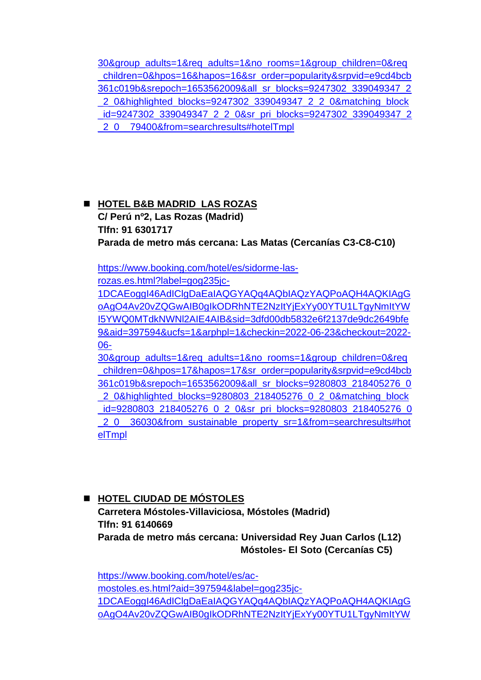30&group\_adults=1&req\_adults=1&no\_rooms=1&group\_children=0&req \_children=0&hpos=16&hapos=16&sr\_order=popularity&srpvid=e9cd4bcb 361c019b&srepoch=1653562009&all\_sr\_blocks=9247302\_339049347\_2 \_2\_0&highlighted\_blocks=9247302\_339049347\_2\_2\_0&matching\_block \_id=9247302\_339049347\_2\_2\_0&sr\_pri\_blocks=9247302\_339049347\_2 2<sup>0</sup>\_79400&from=searchresults#hotelTmpl

◼ **HOTEL B&B MADRID LAS ROZAS C/ Perú nº2, Las Rozas (Madrid) Tlfn: 91 6301717 Parada de metro más cercana: Las Matas (Cercanías C3-C8-C10)**

https://www.booking.com/hotel/es/sidorme-las-

rozas.es.html?label=gog235jc-

1DCAEoggI46AdIClgDaEaIAQGYAQq4AQbIAQzYAQPoAQH4AQKIAgG oAgO4Av20vZQGwAIB0gIkODRhNTE2NzItYjExYy00YTU1LTgyNmItYW I5YWQ0MTdkNWNl2AIE4AIB&sid=3dfd00db5832e6f2137de9dc2649bfe 9&aid=397594&ucfs=1&arphpl=1&checkin=2022-06-23&checkout=2022- 06-

30&group\_adults=1&req\_adults=1&no\_rooms=1&group\_children=0&req \_children=0&hpos=17&hapos=17&sr\_order=popularity&srpvid=e9cd4bcb 361c019b&srepoch=1653562009&all\_sr\_blocks=9280803\_218405276\_0 \_2\_0&highlighted\_blocks=9280803\_218405276\_0\_2\_0&matching\_block id=9280803\_218405276\_0\_2\_0&sr\_pri\_blocks=9280803\_218405276\_0 \_2\_0\_\_36030&from\_sustainable\_property\_sr=1&from=searchresults#hot elTmpl

◼ **HOTEL CIUDAD DE MÓSTOLES Carretera Móstoles-Villaviciosa, Móstoles (Madrid) Tlfn: 91 6140669 Parada de metro más cercana: Universidad Rey Juan Carlos (L12) Móstoles- El Soto (Cercanías C5)**

https://www.booking.com/hotel/es/acmostoles.es.html?aid=397594&label=gog235jc-1DCAEoggI46AdIClgDaEaIAQGYAQq4AQbIAQzYAQPoAQH4AQKIAgG oAgO4Av20vZQGwAIB0gIkODRhNTE2NzItYjExYy00YTU1LTgyNmItYW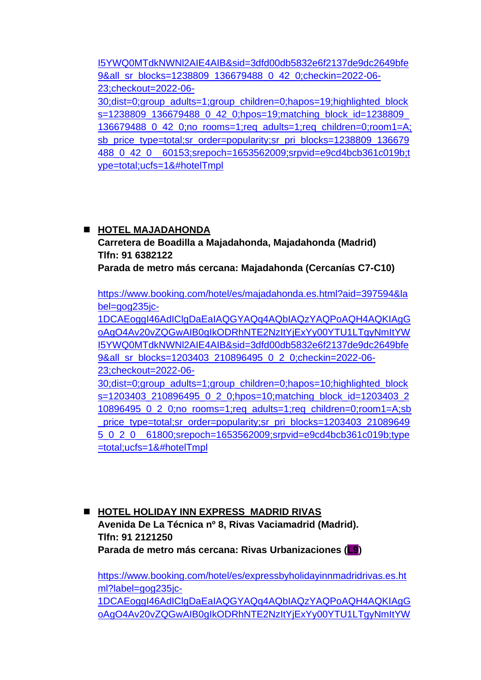I5YWQ0MTdkNWNl2AIE4AIB&sid=3dfd00db5832e6f2137de9dc2649bfe 9&all\_sr\_blocks=1238809\_136679488\_0\_42\_0;checkin=2022-06-23;checkout=2022-06-

30;dist=0;group\_adults=1;group\_children=0;hapos=19;highlighted\_block s=1238809 136679488 0 42 0;hpos=19;matching block id=1238809 136679488\_0\_42\_0;no\_rooms=1;req\_adults=1;req\_children=0;room1=A; sb\_price\_type=total;sr\_order=popularity;sr\_pri\_blocks=1238809\_136679 488\_0\_42\_0\_\_60153;srepoch=1653562009;srpvid=e9cd4bcb361c019b;t ype=total;ucfs=1&#hotelTmpl

#### ◼ **HOTEL MAJADAHONDA**

**Carretera de Boadilla a Majadahonda, Majadahonda (Madrid) Tlfn: 91 6382122**

**Parada de metro más cercana: Majadahonda (Cercanías C7-C10)**

https://www.booking.com/hotel/es/majadahonda.es.html?aid=397594&la bel=gog235jc-

1DCAEoggI46AdIClgDaEaIAQGYAQq4AQbIAQzYAQPoAQH4AQKIAgG oAgO4Av20vZQGwAIB0gIkODRhNTE2NzItYjExYy00YTU1LTgyNmItYW I5YWQ0MTdkNWNl2AIE4AIB&sid=3dfd00db5832e6f2137de9dc2649bfe 9&all\_sr\_blocks=1203403\_210896495\_0\_2\_0;checkin=2022-06-

23;checkout=2022-06-

30;dist=0;group\_adults=1;group\_children=0;hapos=10;highlighted\_block s=1203403\_210896495\_0\_2\_0;hpos=10;matching\_block\_id=1203403\_2 10896495\_0\_2\_0;no\_rooms=1;req\_adults=1;req\_children=0;room1=A;sb price\_type=total;sr\_order=popularity;sr\_pri\_blocks=1203403\_21089649 5\_0\_2\_0\_\_61800;srepoch=1653562009;srpvid=e9cd4bcb361c019b;type =total;ucfs=1&#hotelTmpl

◼ **HOTEL HOLIDAY INN EXPRESS MADRID RIVAS Avenida De La Técnica nº 8, Rivas Vaciamadrid (Madrid). Tlfn: 91 2121250 Parada de metro más cercana: Rivas Urbanizaciones (L9)**

https://www.booking.com/hotel/es/expressbyholidayinnmadridrivas.es.ht ml?label=gog235jc-1DCAEoggI46AdIClgDaEaIAQGYAQq4AQbIAQzYAQPoAQH4AQKIAgG oAgO4Av20vZQGwAIB0gIkODRhNTE2NzItYjExYy00YTU1LTgyNmItYW